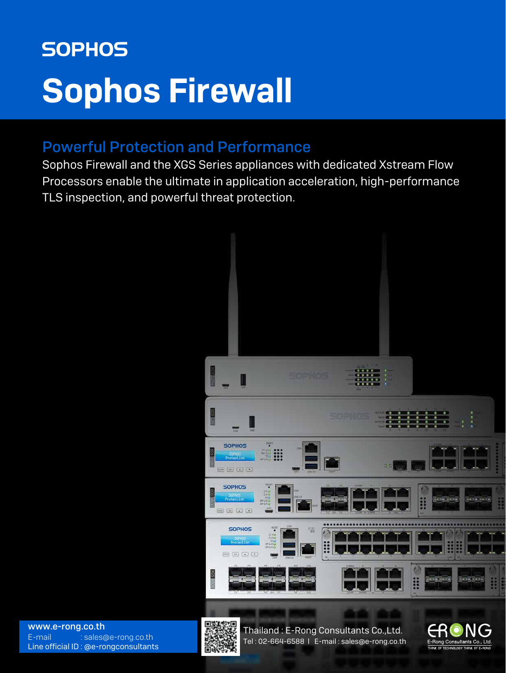# **SOPHOS** [Sophos Firewall](https://www.e-rong.co.th/)

# Powerful Protection and Performance

Sophos Firewall and the XGS Series appliances with dedicated Xstream Flow Processors enable the ultimate in application acceleration, high-performance TLS inspection, and powerful threat protection.





Thailand : E-Rong Consultants Co.,Ltd. Tel : 02-664-6588 l E-mail : sales@e-rong.co.th

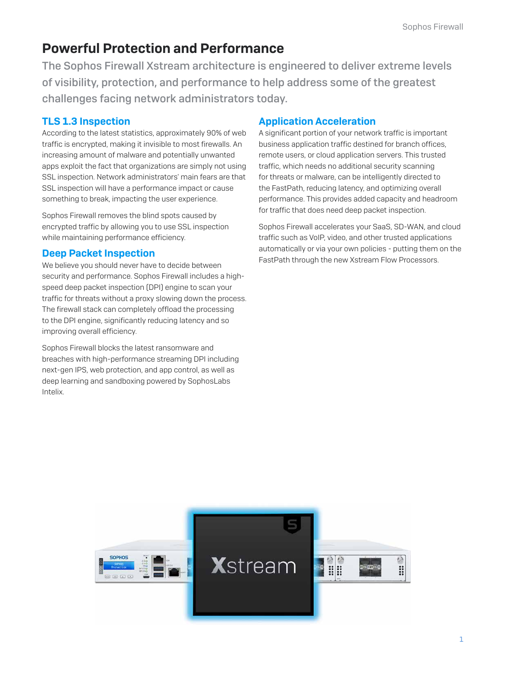# Powerful Protection and Performance

[The Sophos Firewall Xstream architecture is engineered to deliver extreme levels](https://www.e-rong.co.th/)  of visibility, protection, and performance to help address some of the greatest challenges facing network administrators today.

# TLS 1.3 Inspection

According to the latest statistics, approximately 90% of web traffic is encrypted, making it invisible to most firewalls. An increasing amount of malware and potentially unwanted apps exploit the fact that organizations are simply not using SSL inspection. Network administrators' main fears are that SSL inspection will have a performance impact or cause something to break, impacting the user experience.

Sophos Firewall removes the blind spots caused by encrypted traffic by allowing you to use SSL inspection while maintaining performance efficiency.

### Deep Packet Inspection

We believe you should never have to decide between security and performance. Sophos Firewall includes a highspeed deep packet inspection (DPI) engine to scan your traffic for threats without a proxy slowing down the process. The firewall stack can completely offload the processing to the DPI engine, significantly reducing latency and so improving overall efficiency.

Sophos Firewall blocks the latest ransomware and breaches with high-performance streaming DPI including next-gen IPS, web protection, and app control, as well as deep learning and sandboxing powered by SophosLabs Intelix.

# Application Acceleration

A significant portion of your network traffic is important business application traffic destined for branch offices, remote users, or cloud application servers. This trusted traffic, which needs no additional security scanning for threats or malware, can be intelligently directed to the FastPath, reducing latency, and optimizing overall performance. This provides added capacity and headroom for traffic that does need deep packet inspection.

Sophos Firewall accelerates your SaaS, SD-WAN, and cloud traffic such as VoIP, video, and other trusted applications automatically or via your own policies - putting them on the FastPath through the new Xstream Flow Processors.

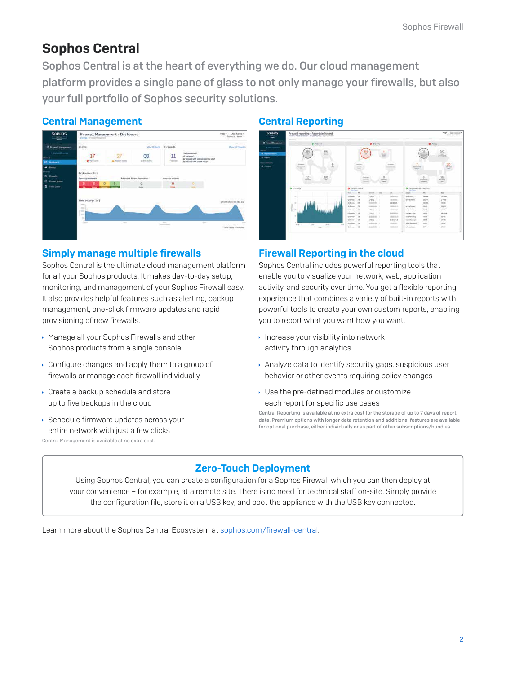# Sophos Central

Sophos Central is at the heart of everything we do. Our cloud management [platform provides a single pane of glass to not only manage your firewalls, but also](https://www.e-rong.co.th/)  your full portfolio of Sophos security solutions.

### Central Management



### Simply manage multiple firewalls

Sophos Central is the ultimate cloud management platform for all your Sophos products. It makes day-to-day setup, monitoring, and management of your Sophos Firewall easy. It also provides helpful features such as alerting, backup management, one-click firmware updates and rapid provisioning of new firewalls.

- Manage all your Sophos Firewalls and other Sophos products from a single console
- Configure changes and apply them to a group of firewalls or manage each firewall individually
- ▶ Create a backup schedule and store up to five backups in the cloud
- Schedule firmware updates across your entire network with just a few clicks Central Management is available at no extra cost.

### Central Reporting



### Firewall Reporting in the cloud

Sophos Central includes powerful reporting tools that enable you to visualize your network, web, application activity, and security over time. You get a flexible reporting experience that combines a variety of built-in reports with powerful tools to create your own custom reports, enabling you to report what you want how you want.

- $\cdot$  Increase your visibility into network activity through analytics
- Analyze data to identify security gaps, suspicious user behavior or other events requiring policy changes
- Use the pre-defined modules or customize each report for specific use cases

Central Reporting is available at no extra cost for the storage of up to 7 days of report data. Premium options with longer data retention and additional features are available for optional purchase, either individually or as part of other subscriptions/bundles.

# Zero-Touch Deployment

Using Sophos Central, you can create a configuration for a Sophos Firewall which you can then deploy at your convenience – for example, at a remote site. There is no need for technical staff on-site. Simply provide the configuration file, store it on a USB key, and boot the appliance with the USB key connected.

Learn more about the Sophos Central Ecosystem at sophos.com/firewall-central.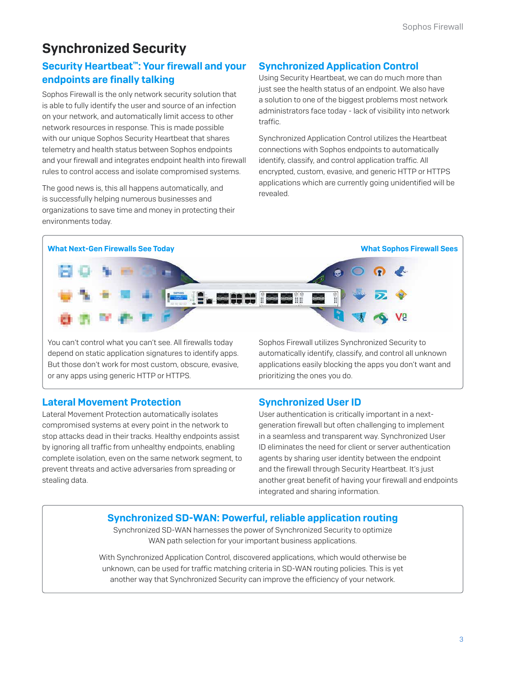# Synchronized Security

# Security Heartbeat™: Your firewall and your endpoints are finally talking

Sophos Firewall is the only network security solution that is able to fully identify the user and source of an infection on your network, and automatically limit access to other network resources in response. This is made possible with our unique Sophos Security Heartbeat that shares telemetry and health status between Sophos endpoints and your firewall and integrates endpoint health into firewall rules to control access and isolate compromised systems.

The good news is, this all happens automatically, and is successfully helping numerous businesses and organizations to save time and money in protecting their environments today.

# Synchronized Application Control

Using Security Heartbeat, we can do much more than just see the health status of an endpoint. We also have a solution to one of the biggest problems most network administrators face today - lack of visibility into network traffic.

Synchronized Application Control utilizes the Heartbeat connections with Sophos endpoints to automatically identify, classify, and control application traffic. All encrypted, custom, evasive, and generic HTTP or HTTPS applications which are currently going unidentified will be revealed.



You can't control what you can't see. All firewalls today depend on static application signatures to identify apps. But those don't work for most custom, obscure, evasive, or any apps using generic HTTP or HTTPS.

Sophos Firewall utilizes Synchronized Security to automatically identify, classify, and control all unknown applications easily blocking the apps you don't want and prioritizing the ones you do.

# Lateral Movement Protection

Lateral Movement Protection automatically isolates compromised systems at every point in the network to stop attacks dead in their tracks. Healthy endpoints assist by ignoring all traffic from unhealthy endpoints, enabling complete isolation, even on the same network segment, to prevent threats and active adversaries from spreading or stealing data.

Synchronized User ID

User authentication is critically important in a nextgeneration firewall but often challenging to implement in a seamless and transparent way. Synchronized User ID eliminates the need for client or server authentication agents by sharing user identity between the endpoint and the firewall through Security Heartbeat. It's just another great benefit of having your firewall and endpoints integrated and sharing information.

# [Synchronized SD-WAN: Powerful, reliable application routing](https://www.e-rong.co.th/)

Synchronized SD-WAN harnesses the power of Synchronized Security to optimize WAN path selection for your important business applications.

With Synchronized Application Control, discovered applications, which would otherwise be unknown, can be used for traffic matching criteria in SD-WAN routing policies. This is yet another way that Synchronized Security can improve the efficiency of your network.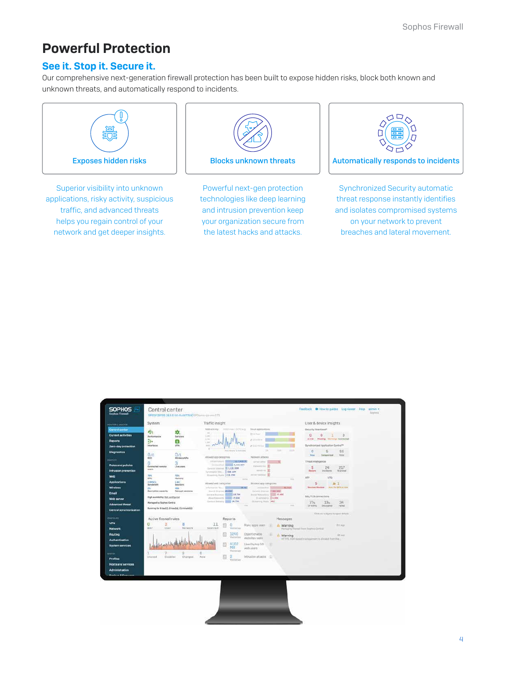# Powerful Protection

### See it. Stop it. Secure it.

[Our comprehensive next-generation firewall protection has been built to expose hidden risks, block both known and](https://www.e-rong.co.th/)  unknown threats, and automatically respond to incidents.



Superior visibility into unknown applications, risky activity, suspicious traffic, and advanced threats helps you regain control of your network and get deeper insights.



Powerful next-gen protection technologies like deep learning and intrusion prevention keep your organization secure from the latest hacks and attacks.



Synchronized Security automatic threat response instantly identifies and isolates compromised systems on your network to prevent breaches and lateral movement.

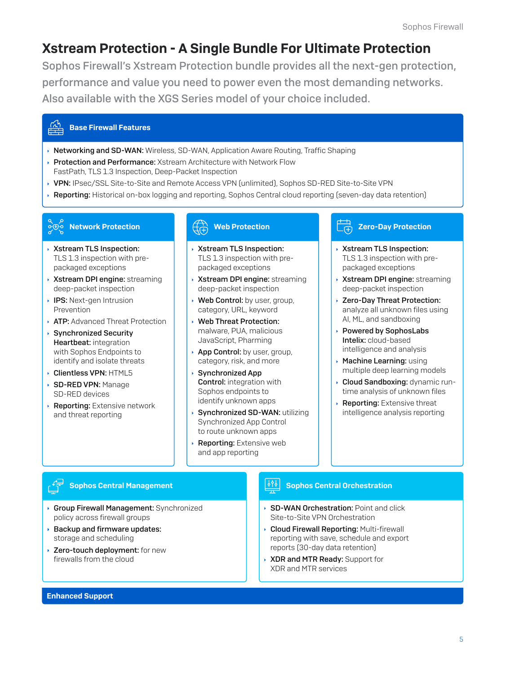# [Xstream Protection - A Single Bundle For Ultimate Protection](https://www.e-rong.co.th/)

Sophos Firewall's Xstream Protection bundle provides all the next-gen protection, performance and value you need to power even the most demanding networks. Also available with the XGS Series model of your choice included.

#### Base Firewall Features

- ▶ Networking and SD-WAN: Wireless, SD-WAN, Application Aware Routing, Traffic Shaping
- **Protection and Performance:** Xstream Architecture with Network Flow FastPath, TLS 1.3 Inspection, Deep-Packet Inspection
- ▶ VPN: IPsec/SSL Site-to-Site and Remote Access VPN (unlimited), Sophos SD-RED Site-to-Site VPN
- **Reporting:** Historical on-box logging and reporting, Sophos Central cloud reporting (seven-day data retention)

# Network Protection

- ▶ Xstream TLS Inspection: TLS 1.3 inspection with prepackaged exceptions
- ▶ Xstream DPI engine: streaming deep-packet inspection
- **IPS:** Next-gen Intrusion Prevention
- **ATP:** Advanced Threat Protection
- Synchronized Security Heartbeat: integration with Sophos Endpoints to identify and isolate threats
- Clientless VPN: HTML5
- SD-RED VPN: Manage SD-RED devices
- **Reporting:** Extensive network and threat reporting

### Web Protection

- Xstream TLS Inspection: TLS 1.3 inspection with prepackaged exceptions
- Xstream DPI engine: streaming deep-packet inspection
- Web Control: by user, group, category, URL, keyword
- Web Threat Protection: malware, PUA, malicious JavaScript, Pharming
- App Control: by user, group, category, risk, and more
- Synchronized App ¥ Control: integration with Sophos endpoints to identify unknown apps
- Synchronized SD-WAN: utilizing Synchronized App Control to route unknown apps
- Reporting: Extensive web and app reporting

#### Zero-Day Protection டெ

- ▶ Xstream TLS Inspection: TLS 1.3 inspection with prepackaged exceptions
- **Xstream DPI engine:** streaming deep-packet inspection
- Zero-Day Threat Protection: analyze all unknown files using AI, ML, and sandboxing
- ▸ Powered by SophosLabs Intelix: cloud-based intelligence and analysis
- $\rightarrow$  Machine Learning: using multiple deep learning models
- **Cloud Sandboxing: dynamic run**time analysis of unknown files
- Reporting: Extensive threat intelligence analysis reporting

### Sophos Central Management

- ▶ Group Firewall Management: Synchronized policy across firewall groups
- $\rightarrow$  Backup and firmware updates: storage and scheduling
- ▶ Zero-touch deployment: for new firewalls from the cloud

### Sophos Central Orchestration

- ▶ SD-WAN Orchestration: Point and click Site-to-Site VPN Orchestration
- **Cloud Firewall Reporting: Multi-firewall** reporting with save, schedule and export reports (30-day data retention)
- ▶ XDR and MTR Ready: Support for XDR and MTR services

#### Enhanced Support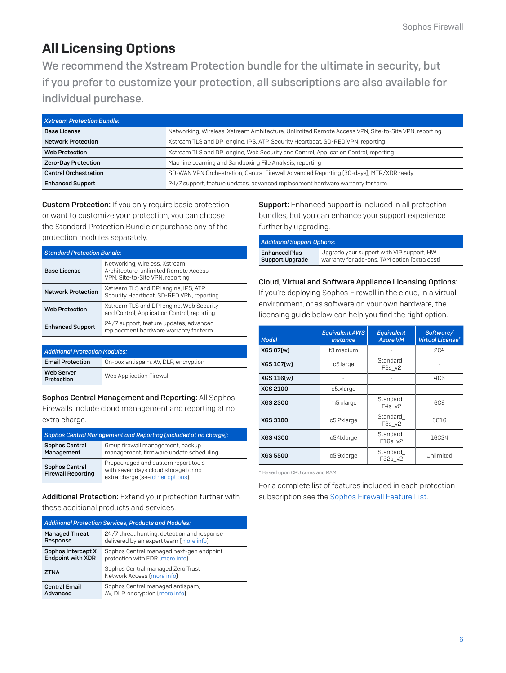# All Licensing Options

We recommend the Xstream Protection bundle for the ultimate in security, but [if you prefer to customize your protection, all subscriptions are also available for](https://www.e-rong.co.th/)  individual purchase.

| <b>Xstream Protection Bundle:</b> |                                                                                                      |
|-----------------------------------|------------------------------------------------------------------------------------------------------|
| <b>Base License</b>               | Networking, Wireless, Xstream Architecture, Unlimited Remote Access VPN, Site-to-Site VPN, reporting |
| <b>Network Protection</b>         | Xstream TLS and DPI engine, IPS, ATP, Security Heartbeat, SD-RED VPN, reporting                      |
| <b>Web Protection</b>             | Xstream TLS and DPI engine, Web Security and Control, Application Control, reporting                 |
| Zero-Day Protection               | Machine Learning and Sandboxing File Analysis, reporting                                             |
| <b>Central Orchestration</b>      | SD-WAN VPN Orchestration, Central Firewall Advanced Reporting [30-days], MTR/XDR ready               |
| <b>Enhanced Support</b>           | 24/7 support, feature updates, advanced replacement hardware warranty for term                       |

**Custom Protection:** If you only require basic protection or want to customize your protection, you can choose the Standard Protection Bundle or purchase any of the protection modules separately.

| <b>Standard Protection Bundle:</b> |                                                                                                            |  |
|------------------------------------|------------------------------------------------------------------------------------------------------------|--|
| <b>Base License</b>                | Networking, wireless, Xstream<br>Architecture, unlimited Remote Access<br>VPN, Site-to-Site VPN, reporting |  |
| <b>Network Protection</b>          | Xstream TLS and DPI engine, IPS, ATP,<br>Security Heartbeat, SD-RED VPN, reporting                         |  |
| <b>Web Protection</b>              | Xstream TLS and DPI engine, Web Security<br>and Control, Application Control, reporting                    |  |
| <b>Enhanced Support</b>            | 24/7 support, feature updates, advanced<br>replacement hardware warranty for term                          |  |

| <b>Additional Protection Modules:</b> |                                      |  |
|---------------------------------------|--------------------------------------|--|
| <b>Email Protection</b>               | On-box antispam, AV, DLP, encryption |  |
| <b>Web Server</b><br>Protection       | Web Application Firewall             |  |

Sophos Central Management and Reporting: All Sophos Firewalls include cloud management and reporting at no extra charge.

| Sophos Central Management and Reporting (included at no charge): |                                                                                                                 |  |
|------------------------------------------------------------------|-----------------------------------------------------------------------------------------------------------------|--|
| <b>Sophos Central</b><br>Management                              | Group firewall management, backup<br>management, firmware update scheduling                                     |  |
| <b>Sophos Central</b><br><b>Firewall Reporting</b>               | Prepackaged and custom report tools<br>with seven days cloud storage for no<br>extra charge (see other options) |  |

Additional Protection: Extend your protection further with these additional products and services.

| <b>Additional Protection Services, Products and Modules:</b> |                                                                 |  |
|--------------------------------------------------------------|-----------------------------------------------------------------|--|
| <b>Managed Threat</b>                                        | 24/7 threat hunting, detection and response                     |  |
| Response                                                     | delivered by an expert team (more info)                         |  |
| Sophos Intercept X                                           | Sophos Central managed next-gen endpoint                        |  |
| <b>Endpoint with XDR</b>                                     | protection with EDR (more info)                                 |  |
| <b>ZTNA</b>                                                  | Sophos Central managed Zero Trust<br>Network Access (more info) |  |
| <b>Central Email</b>                                         | Sophos Central managed antispam,                                |  |
| Advanced                                                     | AV, DLP, encryption [more info]                                 |  |

Support: Enhanced support is included in all protection bundles, but you can enhance your support experience further by upgrading.

| <b>Additional Support Options:</b> |                                               |  |
|------------------------------------|-----------------------------------------------|--|
| <b>Enhanced Plus</b>               | Upgrade your support with VIP support, HW     |  |
| <b>Support Upgrade</b>             | warranty for add-ons, TAM option (extra cost) |  |

#### Cloud, Virtual and Software Appliance Licensing Options:

If you're deploying Sophos Firewall in the cloud, in a virtual environment, or as software on your own hardware, the licensing guide below can help you find the right option.

| <b>Model</b>      | <b>Equivalent AWS</b><br><i>instance</i> | <b>Equivalent</b><br><b>Azure VM</b>       | Software/<br><b>Virtual License*</b> |
|-------------------|------------------------------------------|--------------------------------------------|--------------------------------------|
| XGS 87[w]         | t3.medium                                |                                            | <b>2C4</b>                           |
| <b>XGS 107[w]</b> | c5.large                                 | Standard<br>F <sub>2s</sub> v <sub>2</sub> |                                      |
| <b>XGS 116(w)</b> |                                          |                                            | <b>4C6</b>                           |
| <b>XGS 2100</b>   | c5.xlarge                                |                                            |                                      |
| <b>XGS 2300</b>   | m5.xlarge                                |                                            | <b>6C8</b>                           |
| <b>XGS 3100</b>   | c5.2xlarge                               | Standard<br>F8s v2                         | <b>8C16</b>                          |
| <b>XGS 4300</b>   | c5.4xlarge                               | Standard<br>F16s v2                        | <b>16C24</b>                         |
| <b>XGS 5500</b>   | c5.9xlarge                               | Standard<br>F32s v2                        | Unlimited                            |

\* Based upon CPU cores and RAM

For a complete list of features included in each protection subscription see the Sophos Firewall Feature List.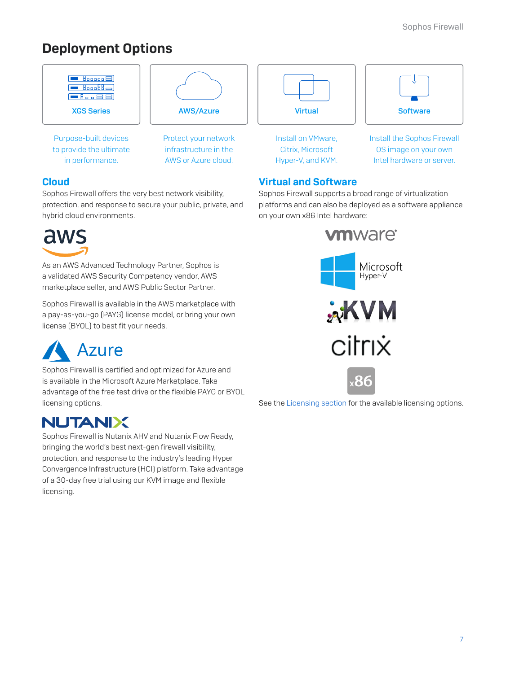# [Deployment Options](https://www.e-rong.co.th/)



Sophos Firewall offers the very best network visibility, protection, and response to secure your public, private, and hybrid cloud environments.



As an AWS Advanced Technology Partner, Sophos is a validated AWS Security Competency vendor, AWS marketplace seller, and AWS Public Sector Partner.

Sophos Firewall is available in the AWS marketplace with a pay-as-you-go (PAYG) license model, or bring your own license (BYOL) to best fit your needs.



Sophos Firewall is certified and optimized for Azure and is available in the Microsoft Azure Marketplace. Take advantage of the free test drive or the flexible PAYG or BYOL licensing options.

# **NUTANIX**

Sophos Firewall is Nutanix AHV and Nutanix Flow Ready, bringing the world's best next-gen firewall visibility, protection, and response to the industry's leading Hyper Convergence Infrastructure (HCI) platform. Take advantage of a 30-day free trial using our KVM image and flexible licensing.

Sophos Firewall supports a broad range of virtualization platforms and can also be deployed as a software appliance on your own x86 Intel hardware:



See the Licensing section for the available licensing options.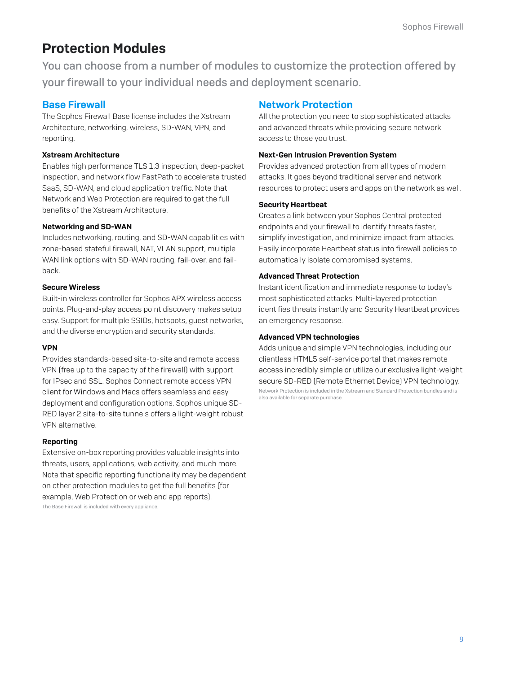# Protection Modules

[You can choose from a number of modules to customize the protection offered by](https://www.e-rong.co.th/)  your firewall to your individual needs and deployment scenario.

### Base Firewall

The Sophos Firewall Base license includes the Xstream Architecture, networking, wireless, SD-WAN, VPN, and reporting.

#### Xstream Architecture

Enables high performance TLS 1.3 inspection, deep-packet inspection, and network flow FastPath to accelerate trusted SaaS, SD-WAN, and cloud application traffic. Note that Network and Web Protection are required to get the full benefits of the Xstream Architecture.

#### Networking and SD-WAN

Includes networking, routing, and SD-WAN capabilities with zone-based stateful firewall, NAT, VLAN support, multiple WAN link options with SD-WAN routing, fail-over, and failback.

#### Secure Wireless

Built-in wireless controller for Sophos APX wireless access points. Plug-and-play access point discovery makes setup easy. Support for multiple SSIDs, hotspots, guest networks, and the diverse encryption and security standards.

#### VPN

Provides standards-based site-to-site and remote access VPN (free up to the capacity of the firewall) with support for IPsec and SSL. Sophos Connect remote access VPN client for Windows and Macs offers seamless and easy deployment and configuration options. Sophos unique SD-RED layer 2 site-to-site tunnels offers a light-weight robust VPN alternative.

#### Reporting

Extensive on-box reporting provides valuable insights into threats, users, applications, web activity, and much more. Note that specific reporting functionality may be dependent on other protection modules to get the full benefits (for example, Web Protection or web and app reports). The Base Firewall is included with every appliance.

### Network Protection

All the protection you need to stop sophisticated attacks and advanced threats while providing secure network access to those you trust.

#### Next-Gen Intrusion Prevention System

Provides advanced protection from all types of modern attacks. It goes beyond traditional server and network resources to protect users and apps on the network as well.

#### Security Heartbeat

Creates a link between your Sophos Central protected endpoints and your firewall to identify threats faster, simplify investigation, and minimize impact from attacks. Easily incorporate Heartbeat status into firewall policies to automatically isolate compromised systems.

#### Advanced Threat Protection

Instant identification and immediate response to today's most sophisticated attacks. Multi-layered protection identifies threats instantly and Security Heartbeat provides an emergency response.

#### Advanced VPN technologies

Adds unique and simple VPN technologies, including our clientless HTML5 self-service portal that makes remote access incredibly simple or utilize our exclusive light-weight secure SD-RED (Remote Ethernet Device) VPN technology. Network Protection is included in the Xstream and Standard Protection bundles and is also available for separate purchase.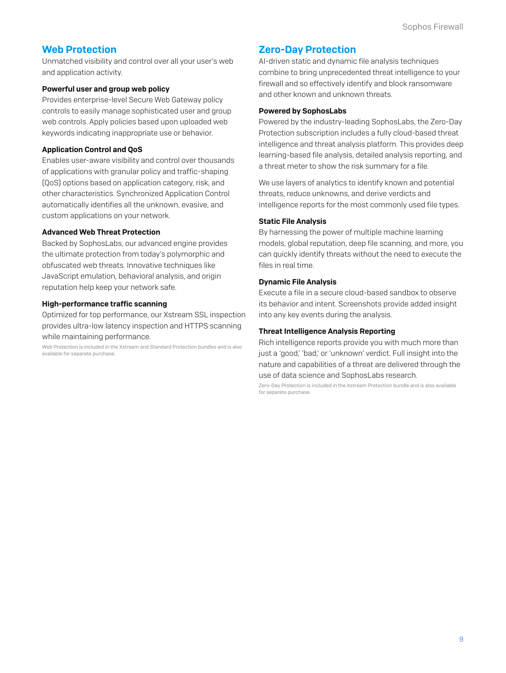### Web Protection

Unmatched visibility and control over all your user's web and application activity.

#### Powerful user and group web policy

Provides enterprise-level Secure Web Gateway policy controls to easily manage sophisticated user and group web controls. Apply policies based upon uploaded web keywords indicating inappropriate use or behavior.

#### Application Control and QoS

Enables user-aware visibility and control over thousands of applications with granular policy and traffic-shaping (QoS) options based on application category, risk, and other characteristics. Synchronized Application Control automatically identifies all the unknown, evasive, and custom applications on your network.

#### Advanced Web Threat Protection

Backed by SophosLabs, our advanced engine provides the ultimate protection from today's polymorphic and obfuscated web threats. Innovative techniques like JavaScript emulation, behavioral analysis, and origin reputation help keep your network safe.

#### High-performance traffic scanning

Optimized for top performance, our Xstream SSL inspection provides ultra-low latency inspection and HTTPS scanning while maintaining performance.

Web Protection is included in the Xstream and Standard Protection bundles and is also available for separate purchase.

### Zero-Day Protection

AI-driven static and dynamic file analysis techniques combine to bring unprecedented threat intelligence to your firewall and so effectively identify and block ransomware and other known and unknown threats.

#### Powered by SophosLabs

Powered by the industry-leading SophosLabs, the Zero-Day Protection subscription includes a fully cloud-based threat [intelligence and threat analysis platform. This provides deep](https://www.e-rong.co.th/)  learning-based file analysis, detailed analysis reporting, and a threat meter to show the risk summary for a file.

We use layers of analytics to identify known and potential threats, reduce unknowns, and derive verdicts and intelligence reports for the most commonly used file types.

#### Static File Analysis

By harnessing the power of multiple machine learning models, global reputation, deep file scanning, and more, you can quickly identify threats without the need to execute the files in real time.

#### Dynamic File Analysis

Execute a file in a secure cloud-based sandbox to observe its behavior and intent. Screenshots provide added insight into any key events during the analysis.

#### Threat Intelligence Analysis Reporting

Rich intelligence reports provide you with much more than just a 'good,' 'bad,' or 'unknown' verdict. Full insight into the nature and capabilities of a threat are delivered through the use of data science and SophosLabs research.

Zero-Day Protection is included in the Xstream Protection bundle and is also available for separate purchase.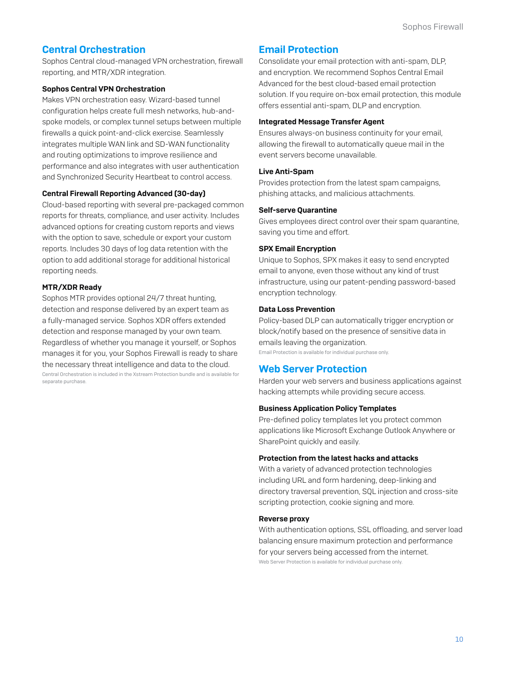### Central Orchestration

Sophos Central cloud-managed VPN orchestration, firewall reporting, and MTR/XDR integration.

#### Sophos Central VPN Orchestration

Makes VPN orchestration easy. Wizard-based tunnel configuration helps create full mesh networks, hub-andspoke models, or complex tunnel setups between multiple firewalls a quick point-and-click exercise. Seamlessly integrates multiple WAN link and SD-WAN functionality and routing optimizations to improve resilience and performance and also integrates with user authentication and Synchronized Security Heartbeat to control access.

#### Central Firewall Reporting Advanced (30-day)

Cloud-based reporting with several pre-packaged common reports for threats, compliance, and user activity. Includes advanced options for creating custom reports and views with the option to save, schedule or export your custom reports. Includes 30 days of log data retention with the option to add additional storage for additional historical reporting needs.

#### MTR/XDR Ready

Sophos MTR provides optional 24/7 threat hunting, detection and response delivered by an expert team as a fully-managed service. Sophos XDR offers extended detection and response managed by your own team. Regardless of whether you manage it yourself, or Sophos manages it for you, your Sophos Firewall is ready to share the necessary threat intelligence and data to the cloud. Central Orchestration is included in the Xstream Protection bundle and is available for

separate purchase.

### Email Protection

Consolidate your email protection with anti-spam, DLP, and encryption. We recommend Sophos Central Email Advanced for the best cloud-based email protection solution. If you require on-box email protection, this module offers essential anti-spam, DLP and encryption.

#### Integrated Message Transfer Agent

Ensures always-on business continuity for your email, allowing the firewall to automatically queue mail in the event servers become unavailable.

#### Live Anti-Spam

Provides protection from the latest spam campaigns, phishing attacks, and malicious attachments.

#### Self-serve Quarantine

Gives employees direct control over their spam quarantine, saving you time and effort.

#### SPX Email Encryption

Unique to Sophos, SPX makes it easy to send encrypted email to anyone, even those without any kind of trust infrastructure, using our patent-pending password-based encryption technology.

#### Data Loss Prevention

Policy-based DLP can automatically trigger encryption or block/notify based on the presence of sensitive data in emails leaving the organization.

Email Protection is available for individual purchase only.

### Web Server Protection

Harden your web servers and business applications against hacking attempts while providing secure access.

#### Business Application Policy Templates

Pre-defined policy templates let you protect common applications like Microsoft Exchange Outlook Anywhere or SharePoint quickly and easily.

#### Protection from the latest hacks and attacks

With a variety of advanced protection technologies including URL and form hardening, deep-linking and directory traversal prevention, SQL injection and cross-site scripting protection, cookie signing and more.

#### Reverse proxy

[With authentication options, SSL offloading, and server load](https://www.e-rong.co.th/)  balancing ensure maximum protection and performance for your servers being accessed from the internet. Web Server Protection is available for individual purchase only.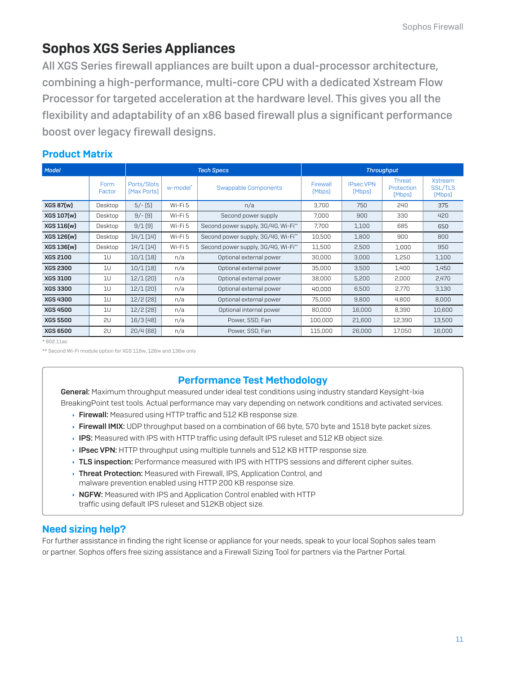# Sophos XGS Series Appliances

All XGS Series firewall appliances are built upon a dual-processor architecture, combining a high-performance, multi-core CPU with a dedicated Xstream Flow Processor for targeted acceleration at the hardware level. This gives you all the [flexibility and adaptability of an x86 based firewall plus a significant performance](https://www.e-rong.co.th/)  boost over legacy firewall designs.

# Product Matrix

| Model<br><b>Tech Specs</b> |                | <b>Throughput</b>          |          |                                     |                    |                            |                                |                                            |
|----------------------------|----------------|----------------------------|----------|-------------------------------------|--------------------|----------------------------|--------------------------------|--------------------------------------------|
|                            | Form<br>Factor | Ports/Slots<br>[Max Ports] | w-model* | Swappable Components                | Firewall<br>[Mbps] | <b>IPsec VPN</b><br>[Mbps] | Threat<br>Protection<br>[Mbps] | <b>Xstream</b><br><b>SSL/TLS</b><br>[Mbps] |
| XGS 87(w)                  | Desktop        | $5/-$ [5]                  | Wi-Fi 5  | n/a                                 | 3.700              | 750                        | 240                            | 375                                        |
| XGS 107(w)                 | Desktop        | $9/-$ [9]                  | Wi-Fi 5  | Second power supply                 | 7,000              | 900                        | 330                            | 420                                        |
| XGS 116(w)                 | Desktop        | 9/1(9)                     | Wi-Fi 5  | Second power supply, 3G/4G, Wi-Fi** | 7,700              | 1,100                      | 685                            | 650                                        |
| XGS 126(w)                 | Desktop        | 14/1(14)                   | Wi-Fi 5  | Second power supply, 3G/4G, Wi-Fi** | 10,500             | 1,800                      | 900                            | 800                                        |
| XGS 136(w)                 | Desktop        | 14/1(14)                   | Wi-Fi 5  | Second power supply, 3G/4G, Wi-Fi** | 11,500             | 2,500                      | 1,000                          | 950                                        |
| <b>XGS 2100</b>            | 1U             | 10/1(18)                   | n/a      | Optional external power             | 30,000             | 3,000                      | 1,250                          | 1,100                                      |
| <b>XGS 2300</b>            | 1U             | $10/1$ [18]                | n/a      | Optional external power             | 35,000             | 3,500                      | 1,400                          | 1,450                                      |
| <b>XGS 3100</b>            | 10             | $12/1$ (20)                | n/a      | Optional external power             | 38,000             | 5,200                      | 2,000                          | 2,470                                      |
| <b>XGS 3300</b>            | 10             | $12/1$ (20)                | n/a      | Optional external power             | 40,000             | 6,500                      | 2,770                          | 3,130                                      |
| <b>XGS 4300</b>            | 1U             | 12/2[28]                   | n/a      | Optional external power             | 75,000             | 9,800                      | 4,800                          | 8,000                                      |
| <b>XGS 4500</b>            | 1U             | 12/2[28]                   | n/a      | Optional internal power             | 80,000             | 16,000                     | 8,390                          | 10,600                                     |
| <b>XGS 5500</b>            | 2U             | $16/3$ (48)                | n/a      | Power, SSD, Fan                     | 100,000            | 21,600                     | 12,390                         | 13,500                                     |
| <b>XGS 6500</b>            | 2U             | 20/4(68)                   | n/a      | Power, SSD, Fan                     | 115,000            | 26,000                     | 17,050                         | 16,000                                     |

\* 802.11ac

\*\* Second Wi-Fi module option for XGS 116w, 126w and 136w only

# Performance Test Methodology

General: Maximum throughput measured under ideal test conditions using industry standard Keysight-Ixia BreakingPoint test tools. Actual performance may vary depending on network conditions and activated services.

- Firewall: Measured using HTTP traffic and 512 KB response size.
- Firewall IMIX: UDP throughput based on a combination of 66 byte, 570 byte and 1518 byte packet sizes.
- **IPS:** Measured with IPS with HTTP traffic using default IPS ruleset and 512 KB object size.
- $\rightarrow$  **IPsec VPN:** HTTP throughput using multiple tunnels and 512 KB HTTP response size.
- **TLS inspection:** Performance measured with IPS with HTTPS sessions and different cipher suites.
- ▸ Threat Protection: Measured with Firewall, IPS, Application Control, and malware prevention enabled using HTTP 200 KB response size.
- NGFW: Measured with IPS and Application Control enabled with HTTP traffic using default IPS ruleset and 512KB object size.

### Need sizing help?

For further assistance in finding the right license or appliance for your needs, speak to your local Sophos sales team or partner. Sophos offers free sizing assistance and a Firewall Sizing Tool for partners via the Partner Portal.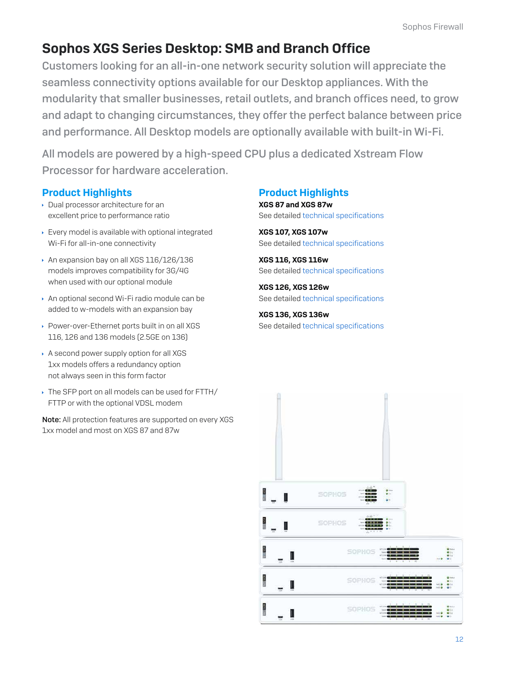# Sophos XGS Series Desktop: SMB and Branch Office

Customers looking for an all-in-one network security solution will appreciate the seamless connectivity options available for our Desktop appliances. With the modularity that smaller businesses, retail outlets, and branch offices need, to grow [and adapt to changing circumstances, they offer the perfect balance between price](https://www.e-rong.co.th/)  and performance. All Desktop models are optionally available with built-in Wi-Fi.

All models are powered by a high-speed CPU plus a dedicated Xstream Flow Processor for hardware acceleration.

# Product Highlights

- Dual processor architecture for an excellent price to performance ratio
- Every model is available with optional integrated Wi-Fi for all-in-one connectivity
- An expansion bay on all XGS 116/126/136 models improves compatibility for 3G/4G when used with our optional module
- An optional second Wi-Fi radio module can be added to w-models with an expansion bay
- Power-over-Ethernet ports built in on all XGS 116, 126 and 136 models (2.5GE on 136)
- A second power supply option for all XGS 1xx models offers a redundancy option not always seen in this form factor
- The SFP port on all models can be used for FTTH/ FTTP or with the optional VDSL modem

Note: All protection features are supported on every XGS 1xx model and most on XGS 87 and 87w

# Product Highlights

XGS 87 and XGS 87w See detailed technical specifications

XGS 107, XGS 107w See detailed technical specifications

XGS 116, XGS 116w See detailed technical specifications

XGS 126, XGS 126w See detailed technical specifications

XGS 136, XGS 136w See detailed technical specifications

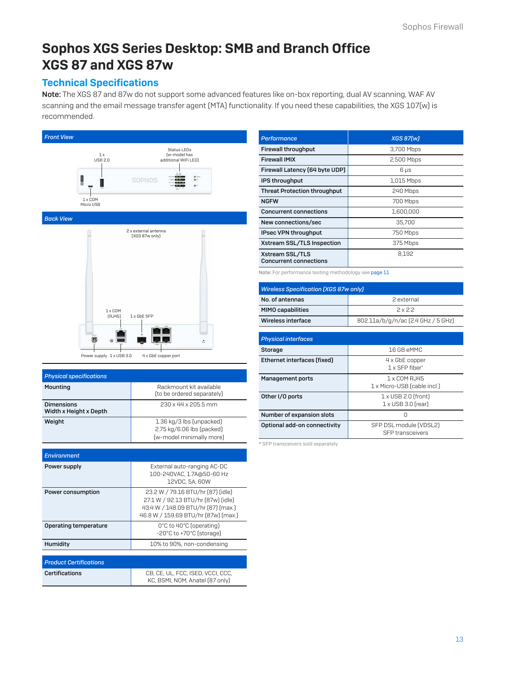# [Sophos XGS Series Desktop: SMB and Branch Office](https://www.e-rong.co.th/) XGS 87 and XGS 87w

### Technical Specifications

Note: The XGS 87 and 87w do not support some advanced features like on-box reporting, dual AV scanning, WAF AV scanning and the email message transfer agent (MTA) functionality. If you need these capabilities, the XGS 107(w) is recommended.





4 x GbE copper port Power supply 1 x USB 3.0

| <b>Physical specifications</b>              |                                                                                                                                                      |
|---------------------------------------------|------------------------------------------------------------------------------------------------------------------------------------------------------|
| Mounting                                    | Rackmount kit available<br>(to be ordered separately)                                                                                                |
| <b>Dimensions</b><br>Width x Height x Depth | 230 x 44 x 205.5 mm                                                                                                                                  |
| Weight                                      | 1.36 kg/3 lbs (unpacked)<br>2.75 kg/6.06 lbs (packed)<br>(w-model minimally more)                                                                    |
| <b>Environment</b>                          |                                                                                                                                                      |
|                                             |                                                                                                                                                      |
| Power supply                                | External auto-ranging AC-DC<br>100-240VAC, 1.7A@50-60 Hz<br>12VDC, 5A, 60W                                                                           |
| Power consumption                           | 23.2 W / 79.16 BTU/hr [87] [idle]<br>27.1 W / 92.13 BTU/hr [87w] [idle]<br>43.4 W / 148.09 BTU/hr [87] [max.]<br>46.8 W / 159.69 BTU/hr [87w] [max.] |
| <b>Operating temperature</b>                | 0°C to 40°C (operating)<br>-20°C to +70°C (storage)                                                                                                  |
| Humidity                                    | 10% to 90%, non-condensing                                                                                                                           |
|                                             |                                                                                                                                                      |
| <b>Product Certifications</b>               |                                                                                                                                                      |
| <b>Certifications</b>                       | CB, CE, UL, FCC, ISED, VCCI, CCC,<br>KC, BSMI, NOM, Anatel (87 only)                                                                                 |

| Performance                                      | <b>XGS 87[w]</b> |
|--------------------------------------------------|------------------|
| <b>Firewall throughput</b>                       | 3,700 Mbps       |
| <b>Firewall IMIX</b>                             | 2,500 Mbps       |
| Firewall Latency (64 byte UDP)                   | $6 \mu s$        |
| <b>IPS throughput</b>                            | 1,015 Mbps       |
| <b>Threat Protection throughput</b>              | 240 Mbps         |
| <b>NGFW</b>                                      | 700 Mbps         |
| <b>Concurrent connections</b>                    | 1,600,000        |
| New connections/sec                              | 35,700           |
| IPsec VPN throughput                             | 750 Mbps         |
| Xstream SSL/TLS Inspection                       | 375 Mbps         |
| Xstream SSL/TLS<br><b>Concurrent connections</b> | 8.192            |

Note: For performance testing methodology see page 11

| <b>Wireless Specification [XGS 87w only]</b> |                                    |  |
|----------------------------------------------|------------------------------------|--|
| No. of antennas                              | 2 external                         |  |
| <b>MIMO capabilities</b>                     | 2x22                               |  |
| Wireless interface                           | 802.11a/b/g/n/ac (2.4 GHz / 5 GHz) |  |

| <b>Physical interfaces</b>   |                                                         |
|------------------------------|---------------------------------------------------------|
| <b>Storage</b>               | 16 GB eMMC                                              |
| Ethernet interfaces (fixed)  | 4 x GbE copper<br>1 x SFP fiber*                        |
| Management ports             | 1 x COM RJ45<br>1 x Micro-USB (cable incl.)             |
| Other I/O ports              | $1 \times$ USB 2.0 (front)<br>$1 \times$ USB 3.0 frearl |
| Number of expansion slots    | ∩                                                       |
| Optional add-on connectivity | SFP DSL module (VDSL2)<br><b>SFP</b> transceivers       |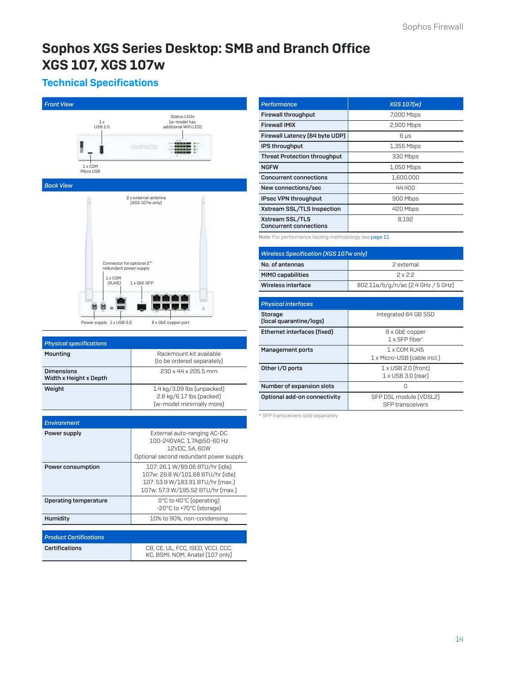# [Sophos XGS Series Desktop: SMB and Branch Office](https://www.e-rong.co.th/) XGS 107, XGS 107w

# Technical Specifications



| L.O KG/ O.L/ 100 (packed)<br>(w-model minimally more) |
|-------------------------------------------------------|
|                                                       |
|                                                       |
|                                                       |
| External auto-ranging AC-DC                           |
|                                                       |

|                               | 100-240VAC, 1.7A@50-60 Hz<br>12VDC, 5A, 60W                                                                                                   |
|-------------------------------|-----------------------------------------------------------------------------------------------------------------------------------------------|
|                               | Optional second redundant power supply                                                                                                        |
| Power consumption             | 107: 26.1 W/89.06 BTU/hr (idle)<br>107w: 29.8 W/101.68 BTU/hr fidle]<br>107: 53.9 W/183.91 BTU/hr [max.]<br>107w: 57.3 W/195.52 BTU/hr [max.] |
| Operating temperature         | 0°C to 40°C (operating)<br>-20°C to +70°C (storage)                                                                                           |
| Humidity                      | 10% to 90%, non-condensing                                                                                                                    |
|                               |                                                                                                                                               |
| <b>Product Certifications</b> |                                                                                                                                               |
|                               |                                                                                                                                               |

*Environment* Power supply

| <b>Certifications</b> | CB, CE, UL, FCC, ISED, VCCI, CCC,<br>KC, BSMI, NOM, Anatel (107 only) |
|-----------------------|-----------------------------------------------------------------------|
|                       |                                                                       |

| Performance                                      | <b>XGS 107[w]</b> |
|--------------------------------------------------|-------------------|
| <b>Firewall throughput</b>                       | 7,000 Mbps        |
| <b>Firewall IMIX</b>                             | 2,900 Mbps        |
| Firewall Latency (64 byte UDP)                   | $6 \mu s$         |
| <b>IPS throughput</b>                            | 1,355 Mbps        |
| <b>Threat Protection throughput</b>              | 330 Mbps          |
| <b>NGFW</b>                                      | 1,050 Mbps        |
| <b>Concurrent connections</b>                    | 1,600,000         |
| New connections/sec                              | 44,400            |
| IPsec VPN throughput                             | 900 Mbps          |
| Xstream SSL/TLS Inspection                       | 420 Mbps          |
| Xstream SSL/TLS<br><b>Concurrent connections</b> | 8.192             |

Note: For performance testing methodology see page 11

| <b>Wireless Specification [XGS 107w only]</b> |                                    |
|-----------------------------------------------|------------------------------------|
| No. of antennas                               | 2 external                         |
| <b>MIMO capabilities</b>                      | 2x22                               |
| Wireless interface                            | 802.11a/b/g/n/ac (2.4 GHz / 5 GHz) |

| <b>Physical interfaces</b>         |                                                         |
|------------------------------------|---------------------------------------------------------|
| Storage<br>(local quarantine/logs) | Integrated 64 GB SSD                                    |
| Ethernet interfaces (fixed)        | 8 x GbE copper<br>1 x SFP fiher*                        |
| Management ports                   | 1 x COM R. 145<br>1 x Micro-USB (cable incl.)           |
| Other I/O ports                    | $1 \times$ USB 2.0 (front)<br>$1 \times$ USB 3.0 frearl |
| Number of expansion slots          | U                                                       |
| Optional add-on connectivity       | SFP DSL module (VDSL2)<br><b>SFP</b> transceivers       |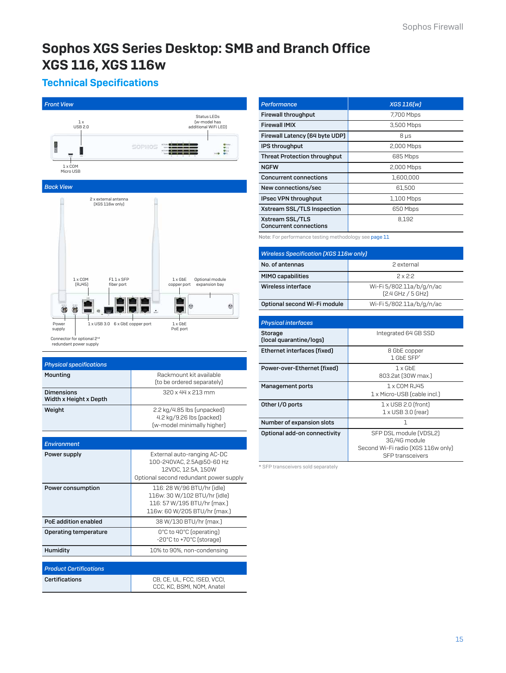# [Sophos XGS Series Desktop: SMB and Branch Office](https://www.e-rong.co.th/) XGS 116, XGS 116w

# Technical Specifications

| <b>Front View</b>                                                    |                                                                                                                           |
|----------------------------------------------------------------------|---------------------------------------------------------------------------------------------------------------------------|
| 1x<br><b>USB 2.0</b>                                                 | Status LEDs<br>(w-model has<br>additional WiFi LED)                                                                       |
|                                                                      | SOPHOS                                                                                                                    |
| $1 \times$ COM<br>Micro USB                                          |                                                                                                                           |
| <b>Back View</b>                                                     |                                                                                                                           |
| 2 x external antenna<br>(XGS 116w only)<br>$1 \times$ COM<br>F11xSFP | $1 \times$ GbE<br>Optional module                                                                                         |
| (RJ45)<br>fiber port                                                 | expansion bay<br>copper port                                                                                              |
|                                                                      |                                                                                                                           |
| 1 x USB 3.0 6 x GbE copper port<br>Power<br>supply                   | $1 \times$ GbE<br>PoE port                                                                                                |
| Connector for optional 2nd<br>redundant power supply                 |                                                                                                                           |
|                                                                      |                                                                                                                           |
| <b>Physical specifications</b>                                       |                                                                                                                           |
| Mounting                                                             | Rackmount kit available<br>(to be ordered separately)                                                                     |
| <b>Dimensions</b><br>Width x Height x Depth                          | 320 x 44 x 213 mm                                                                                                         |
| Weight                                                               | 2.2 kg/4.85 lbs [unpacked]                                                                                                |
|                                                                      | 4.2 kg/9.26 lbs (packed)<br>(w-model minimally higher)                                                                    |
|                                                                      |                                                                                                                           |
| <b>Environment</b>                                                   |                                                                                                                           |
| Power supply                                                         | External auto-ranging AC-DC<br>100-240VAC, 2.5A@50-60 Hz<br>12VDC, 12.5A, 150W<br>Optional second redundant power supply  |
| Power consumption                                                    | 116: 28 W/96 BTU/hr (idle)<br>116w: 30 W/102 BTU/hr (idle)<br>116: 57 W/195 BTU/hr (max.)<br>116w: 60 W/205 BTU/hr (max.) |
| PoE addition enabled                                                 | 38 W/130 BTU/hr (max.)                                                                                                    |
| <b>Operating temperature</b>                                         | 0°C to 40°C (operating)<br>-20°C to +70°C (storage)                                                                       |
| Humidity                                                             | 10% to 90%, non-condensing                                                                                                |
|                                                                      |                                                                                                                           |
| <b>Product Certifications</b>                                        |                                                                                                                           |
| Certifications                                                       | CB, CE, UL, FCC, ISED, VCCI,<br>CCC, KC, BSMI, NOM, Anatel                                                                |

| Performance                                      | XGS 116[w] |
|--------------------------------------------------|------------|
| <b>Firewall throughput</b>                       | 7,700 Mbps |
| <b>Firewall IMIX</b>                             | 3,500 Mbps |
| Firewall Latency (64 byte UDP)                   | $8 \mu s$  |
| <b>IPS throughput</b>                            | 2,000 Mbps |
| <b>Threat Protection throughput</b>              | 685 Mbps   |
| <b>NGFW</b>                                      | 2,000 Mbps |
| <b>Concurrent connections</b>                    | 1,600,000  |
| New connections/sec                              | 61.500     |
| IPsec VPN throughput                             | 1,100 Mbps |
| Xstream SSL/TLS Inspection                       | 650 Mbps   |
| Xstream SSL/TLS<br><b>Concurrent connections</b> | 8.192      |

Note: For performance testing methodology see page 11

| <b>Wireless Specification [XGS 116w only]</b> |                                               |
|-----------------------------------------------|-----------------------------------------------|
| No. of antennas                               | 2 external                                    |
| <b>MIMO capabilities</b>                      | 2x2.2                                         |
| Wireless interface                            | Wi-Fi 5/802.11a/b/g/n/ac<br>[2.4 GHz / 5 GHz] |
| Optional second Wi-Fi module                  | Wi-Fi 5/802.11a/b/g/n/ac                      |

| <b>Physical interfaces</b>         |                                                                                                         |
|------------------------------------|---------------------------------------------------------------------------------------------------------|
| Storage<br>(local quarantine/logs) | Integrated 64 GB SSD                                                                                    |
| Ethernet interfaces (fixed)        | 8 GbE copper<br>1 GbF SFP*                                                                              |
| Power-over-Ethernet (fixed)        | $1 \times$ GbF<br>803.2at (30W max.)                                                                    |
| <b>Management ports</b>            | 1 x COM RJ45<br>1 x Micro-USB (cable incl.)                                                             |
| Other I/O ports                    | $1 \times$ USB 2.0 (front)<br>$1 \times$ USB 3.0 (rear)                                                 |
| Number of expansion slots          | 1                                                                                                       |
| Optional add-on connectivity       | SFP DSL module [VDSL2]<br>3G/4G module<br>Second Wi-Fi radio (XGS 116w only)<br><b>SFP</b> transceivers |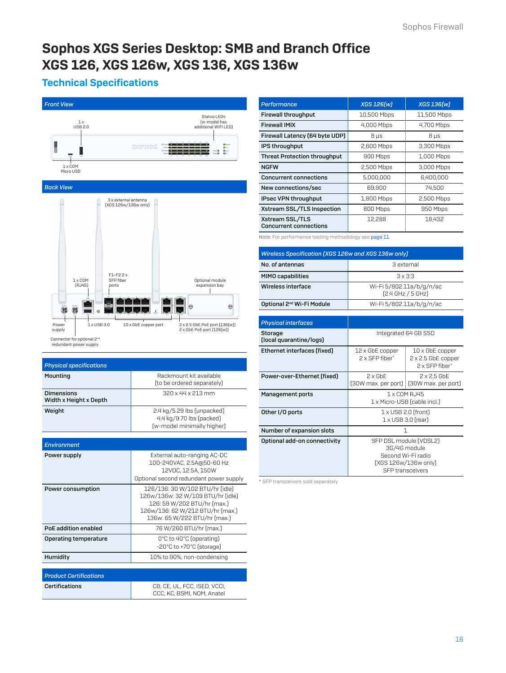# [Sophos XGS Series Desktop: SMB and Branch Office](https://www.e-rong.co.th/) XGS 126, XGS 126w, XGS 136, XGS 136w

# Technical Specifications



| <b>Physical specifications</b>              |                                                                                      |
|---------------------------------------------|--------------------------------------------------------------------------------------|
| Mounting                                    | Rackmount kit available<br>(to be ordered separately)                                |
| <b>Dimensions</b><br>Width x Height x Depth | 320 x 44 x 213 mm                                                                    |
| Weight                                      | 2.4 kg/5.29 lbs (unpacked)<br>4.4 kg/9.70 lbs (packed)<br>(w-model minimally higher) |
|                                             |                                                                                      |
| <b>Environment</b>                          |                                                                                      |
| .                                           | <b>FIII</b> , TARRO                                                                  |

| Power supply                  | External auto-ranging AC-DC<br>100-240VAC, 2.5A@50-60 Hz<br>12VDC, 12.5A, 150W<br>Optional second redundant power supply                                                |
|-------------------------------|-------------------------------------------------------------------------------------------------------------------------------------------------------------------------|
| Power consumption             | 126/136: 30 W/102 BTU/hr (idle)<br>126w/136w: 32 W/109 BTU/hr (idle)<br>126: 59 W/202 BTU/hr (max.)<br>126w/136: 62 W/212 BTU/hr (max.)<br>136w: 65 W/222 BTU/hr (max.) |
| PoE addition enabled          | 76 W/260 BTU/hr (max.)                                                                                                                                                  |
| Operating temperature         | 0°C to 40°C (operating)<br>-20°C to +70°C (storage)                                                                                                                     |
| Humidity                      | 10% to 90%, non-condensing                                                                                                                                              |
|                               |                                                                                                                                                                         |
| <b>Product Certifications</b> |                                                                                                                                                                         |
| Certifications                | CB, CE, UL, FCC, ISED, VCCI,<br>CCC, KC, BSMI, NOM, Anatel                                                                                                              |

| Performance                                      | <b>XGS 126[w]</b> | <b>XGS 136[w]</b> |
|--------------------------------------------------|-------------------|-------------------|
| <b>Firewall throughput</b>                       | 10,500 Mbps       | 11,500 Mbps       |
| <b>Firewall IMIX</b>                             | 4,000 Mbps        | 4,700 Mbps        |
| Firewall Latency (64 byte UDP)                   | $8 \mu s$         | $8 \mu s$         |
| IPS throughput                                   | 2,600 Mbps        | 3,300 Mbps        |
| <b>Threat Protection throughput</b>              | 900 Mbps          | 1,000 Mbps        |
| <b>NGFW</b>                                      | 2,500 Mbps        | 3,000 Mbps        |
| <b>Concurrent connections</b>                    | 5.000.000         | 6.400.000         |
| New connections/sec                              | 69,900            | 74.500            |
| IPsec VPN throughput                             | 1,800 Mbps        | 2,500 Mbps        |
| Xstream SSL/TLS Inspection                       | 800 Mbps          | 950 Mbps          |
| Xstream SSL/TLS<br><b>Concurrent connections</b> | 12.288            | 18.432            |

Note: For performance testing methodology see page 11

| Wireless Specification [XGS 126w and XGS 136w only] |                                                   |
|-----------------------------------------------------|---------------------------------------------------|
| No. of antennas                                     | 3 external                                        |
| <b>MIMO capabilities</b>                            | $3 \times 3:3$                                    |
| Wireless interface                                  | Wi-Fi 5/802.11a/b/g/n/ac<br>$[2.4$ GHz $/$ 5 GHz) |
| Optional 2 <sup>nd</sup> Wi-Fi Module               | Wi-Fi 5/802.11a/b/g/n/ac                          |

| Integrated 64 GB SSD                        |                                                                                                                                                                                 |
|---------------------------------------------|---------------------------------------------------------------------------------------------------------------------------------------------------------------------------------|
| 12 x GbE copper<br>2 x SFP fiber*           | $10 \times$ GbE copper<br>2 x 2.5 GbE copper<br>2 x SFP fiber*                                                                                                                  |
| $2 \times$ GbF<br>(30W max. per port)       | $2 \times 2.5$ GbF<br>(30W max. per port)                                                                                                                                       |
| 1 x COM RJ45<br>1 x Micro-USB (cable incl.) |                                                                                                                                                                                 |
|                                             |                                                                                                                                                                                 |
|                                             |                                                                                                                                                                                 |
|                                             |                                                                                                                                                                                 |
|                                             | $1 \times$ USB 2.0 (front)<br>$1 \times$ USB 3.0 (rear)<br>1<br>SFP DSL module (VDSL2)<br>3G/4G module<br>Second Wi-Fi radio<br>[XGS 126w/136w only]<br><b>SFP</b> transceivers |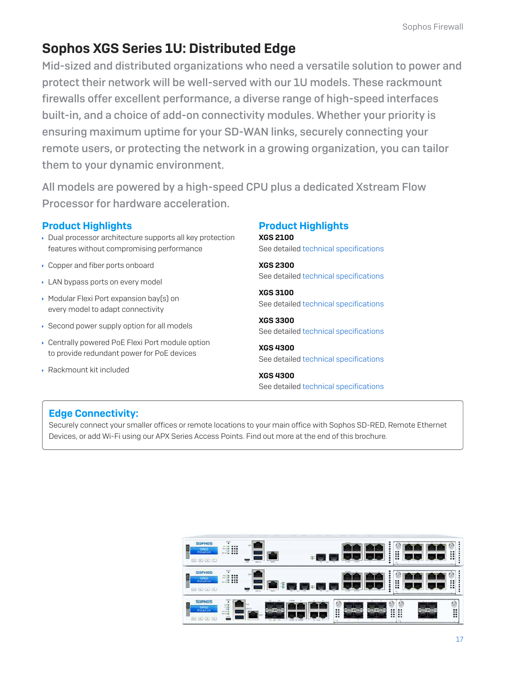# Sophos XGS Series 1U: Distributed Edge

[Mid-sized and distributed organizations who need a versatile solution to power and](https://www.e-rong.co.th/)  protect their network will be well-served with our 1U models. These rackmount firewalls offer excellent performance, a diverse range of high-speed interfaces built-in, and a choice of add-on connectivity modules. Whether your priority is ensuring maximum uptime for your SD-WAN links, securely connecting your remote users, or protecting the network in a growing organization, you can tailor them to your dynamic environment.

All models are powered by a high-speed CPU plus a dedicated Xstream Flow Processor for hardware acceleration.

### Product Highlights

- Dual processor architecture supports all key protection features without compromising performance
- Copper and fiber ports onboard
- **LAN bypass ports on every model**
- Modular Flexi Port expansion bay(s) on every model to adapt connectivity
- ▶ Second power supply option for all models
- Centrally powered PoE Flexi Port module option to provide redundant power for PoE devices
- Rackmount kit included

# Product Highlights

XGS 2100 See detailed technical specifications

XGS 2300 See detailed technical specifications

XGS 3100 See detailed technical specifications

XGS 3300 See detailed technical specifications

XGS 4300 See detailed technical specifications

XGS 4300 See detailed technical specifications

# Edge Connectivity:

Securely connect your smaller offices or remote locations to your main office with Sophos SD-RED, Remote Ethernet Devices, or add Wi-Fi using our APX Series Access Points. Find out more at the end of this brochure.

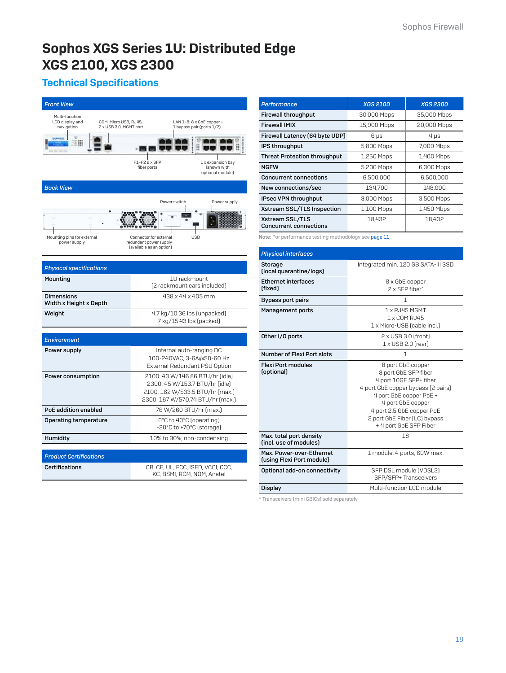# [Sophos XGS Series 1U: Distributed Edge](https://www.e-rong.co.th/) XGS 2100, XGS 2300

# Technical Specifications

| <b>Front View</b>                                                                                  |                                                                                                                                          |  |
|----------------------------------------------------------------------------------------------------|------------------------------------------------------------------------------------------------------------------------------------------|--|
| Multi-function<br>COM: Micro USB, RJ45,<br>LCD display and<br>navigation<br>2 x USB 3.0, MGMT port | LAN 1-8: 8 x GbE copper -<br>1 bypass pair (ports 1/2)                                                                                   |  |
| say say is                                                                                         |                                                                                                                                          |  |
|                                                                                                    | F1-F2 2 x SFP<br>1 x expansion bay<br>fiber ports<br>(shown with<br>optional module)                                                     |  |
| <b>Back View</b>                                                                                   |                                                                                                                                          |  |
|                                                                                                    | Power supply<br>Power switch                                                                                                             |  |
| Mounting pins for external<br>power supply                                                         | <b>USB</b><br>Connector for external<br>redundant power supply<br>(available as an option)                                               |  |
| <b>Physical specifications</b>                                                                     |                                                                                                                                          |  |
| Mounting                                                                                           | 1U rackmount<br>[2 rackmount ears included]                                                                                              |  |
| <b>Dimensions</b><br>Width x Height x Depth                                                        | 438 x 44 x 405 mm                                                                                                                        |  |
| Weight                                                                                             | 4.7 kg/10.36 lbs [unpacked]<br>7 kg/15.43 lbs (packed)                                                                                   |  |
|                                                                                                    |                                                                                                                                          |  |
| <b>Environment</b><br>Power supply                                                                 | Internal auto-ranging DC                                                                                                                 |  |
|                                                                                                    | 100-240VAC, 3-6A@50-60 Hz<br>External Redundant PSU Option                                                                               |  |
| Power consumption                                                                                  | 2100: 43 W/146.86 BTU/hr (idle)<br>2300: 45 W/153.7 BTU/hr (idle)<br>2100: 162 W/533.5 BTU/hr [max.]<br>2300: 167 W/570.74 BTU/hr [max.] |  |
| <b>PoE addition enabled</b>                                                                        | 76 W/260 BTU/hr (max.)                                                                                                                   |  |
| Operating temperature                                                                              | O°C to 40°C (operating)<br>-20°C to +70°C (storage)                                                                                      |  |
| Humidity                                                                                           | 10% to 90%, non-condensing                                                                                                               |  |
| <b>Product Certifications</b>                                                                      |                                                                                                                                          |  |
| Certifications                                                                                     | CB, CE, UL, FCC, ISED, VCCI, CCC,<br>KC, BSMI, RCM, NOM, Anatel                                                                          |  |

| Performance                                      | <b>XGS 2100</b> | <b>XGS 2300</b> |
|--------------------------------------------------|-----------------|-----------------|
| <b>Firewall throughput</b>                       | 30,000 Mbps     | 35,000 Mbps     |
| <b>Firewall IMIX</b>                             | 15,900 Mbps     | 20,000 Mbps     |
| Firewall Latency (64 byte UDP)                   | $6 \mu s$       | $4 \mu s$       |
| IPS throughput                                   | 5,800 Mbps      | 7,000 Mbps      |
| <b>Threat Protection throughput</b>              | 1,250 Mbps      | 1,400 Mbps      |
| <b>NGFW</b>                                      | 5,200 Mbps      | 6,300 Mbps      |
| <b>Concurrent connections</b>                    | 6.500.000       | 6.500.000       |
| New connections/sec                              | 134.700         | 148,000         |
| IPsec VPN throughput                             | 3,000 Mbps      | 3,500 Mbps      |
| Xstream SSL/TLS Inspection                       | 1,100 Mbps      | 1,450 Mbps      |
| Xstream SSL/TLS<br><b>Concurrent connections</b> | 18,432          | 18.432          |

Note: For performance testing methodology see page 11

| <b>Physical interfaces</b>                            |                                                                                                                                                                                                                                                  |
|-------------------------------------------------------|--------------------------------------------------------------------------------------------------------------------------------------------------------------------------------------------------------------------------------------------------|
| Storage<br>(local quarantine/logs)                    | Integrated min. 120 GB SATA-III SSD                                                                                                                                                                                                              |
| <b>Ethernet interfaces</b><br>(fixed)                 | 8 x GbE copper<br>2 x SFP fiber*                                                                                                                                                                                                                 |
| <b>Bypass port pairs</b>                              | 1                                                                                                                                                                                                                                                |
| <b>Management ports</b>                               | 1 x RJ45 MGMT<br>1 x COM RJ45<br>1 x Micro-USB (cable incl.)                                                                                                                                                                                     |
| Other I/O ports                                       | $2 \times$ USB 3.0 (front)<br>$1 \times$ USB 2.0 (rear)                                                                                                                                                                                          |
| Number of Flexi Port slots                            | 1                                                                                                                                                                                                                                                |
| <b>Flexi Port modules</b><br>(optional)               | 8 port GbE copper<br>8 port GbE SFP fiber<br>4 port 10GE SFP+ fiber<br>4 port GbE copper bypass (2 pairs)<br>4 port GbE copper PoE +<br>4 port GbE copper<br>4 port 2.5 GbE copper PoE<br>2 port GbE Fiber (LC) bypass<br>+ 4 port GbE SFP Fiber |
| Max. total port density<br>(incl. use of modules)     | 18                                                                                                                                                                                                                                               |
| Max. Power-over-Ethernet<br>(using Flexi Port module) | 1 module: 4 ports, 60W max.                                                                                                                                                                                                                      |
| Optional add-on connectivity                          | SFP DSL module (VDSL2)<br>SFP/SFP+ Transceivers                                                                                                                                                                                                  |
| <b>Display</b>                                        | Multi-function LCD module                                                                                                                                                                                                                        |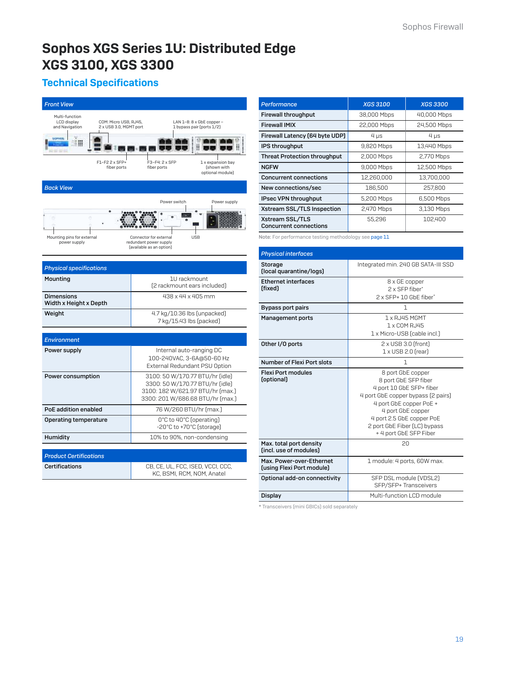# [Sophos XGS Series 1U: Distributed Edge](https://www.e-rong.co.th/) XGS 3100, XGS 3300

# Technical Specifications



| <b>Performance</b>                               | <b>XGS 3100</b> | <b>XGS 3300</b> |
|--------------------------------------------------|-----------------|-----------------|
| <b>Firewall throughput</b>                       | 38,000 Mbps     | 40,000 Mbps     |
| <b>Firewall IMIX</b>                             | 22,000 Mbps     | 24,500 Mbps     |
| Firewall Latency (64 byte UDP)                   | $4 \mu s$       | $4 \mu s$       |
| IPS throughput                                   | 9,820 Mbps      | 13,440 Mbps     |
| <b>Threat Protection throughput</b>              | 2,000 Mbps      | 2,770 Mbps      |
| <b>NGFW</b>                                      | 9,000 Mbps      | 12,500 Mbps     |
| <b>Concurrent connections</b>                    | 12.260.000      | 13.700.000      |
| New connections/sec                              | 186,500         | 257,800         |
| IPsec VPN throughput                             | 5,200 Mbps      | 6,500 Mbps      |
| Xstream SSL/TLS Inspection                       | 2,470 Mbps      | 3,130 Mbps      |
| Xstream SSL/TLS<br><b>Concurrent connections</b> | 55,296          | 102,400         |

Note: For performance testing methodology see page 11

| <b>Physical interfaces</b>                            |                                                                                                                                                                                                                                                    |
|-------------------------------------------------------|----------------------------------------------------------------------------------------------------------------------------------------------------------------------------------------------------------------------------------------------------|
| Storage<br>(local quarantine/logs)                    | Integrated min. 240 GB SATA-III SSD                                                                                                                                                                                                                |
| <b>Ethernet interfaces</b><br>(fixed)                 | 8 x GE copper<br>2 x SEP fiher*<br>2 x SFP+ 10 GbF fiber*                                                                                                                                                                                          |
| <b>Bypass port pairs</b>                              | 1                                                                                                                                                                                                                                                  |
| <b>Management ports</b>                               | 1 x RJ45 MGMT<br>1 x COM RJ45<br>1 x Micro-USB (cable incl.)                                                                                                                                                                                       |
| Other I/O ports                                       | $2 \times$ USB 3.0 (front)<br>$1 \times$ USB 2.0 (rear)                                                                                                                                                                                            |
| Number of Flexi Port slots                            | 1                                                                                                                                                                                                                                                  |
| <b>Flexi Port modules</b><br>(optional)               | 8 port GbE copper<br>8 port GbE SFP fiber<br>4 port 10 GbE SFP+ fiber<br>4 port GbE copper bypass (2 pairs)<br>4 port GbE copper PoE +<br>4 port GbE copper<br>4 port 2.5 GbE copper PoE<br>2 port GbE Fiber (LC) bypass<br>+ 4 port GbE SFP Fiber |
| Max. total port density<br>(incl. use of modules)     | 20                                                                                                                                                                                                                                                 |
| Max. Power-over-Ethernet<br>(using Flexi Port module) | 1 module: 4 ports, 60W max.                                                                                                                                                                                                                        |
| Optional add-on connectivity                          | SFP DSL module (VDSL2)<br>SFP/SFP+ Transceivers                                                                                                                                                                                                    |
| Display                                               | Multi-function LCD module                                                                                                                                                                                                                          |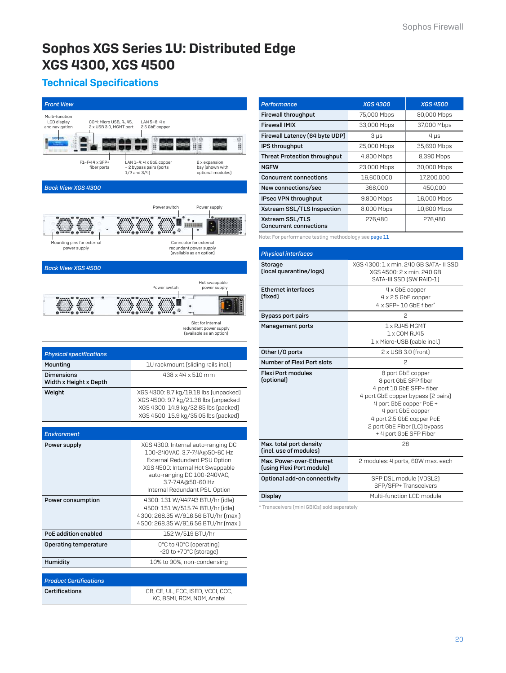# [Sophos XGS Series 1U: Distributed Edge](https://www.e-rong.co.th/) XGS 4300, XGS 4500

# Technical Specifications



| Performance                                      | <b>XGS 4300</b> | <b>XGS 4500</b> |
|--------------------------------------------------|-----------------|-----------------|
| <b>Firewall throughput</b>                       | 75,000 Mbps     | 80,000 Mbps     |
| <b>Firewall IMIX</b>                             | 33,000 Mbps     | 37,000 Mbps     |
| Firewall Latency (64 byte UDP)                   | $3 \mu s$       | $4 \mu s$       |
| IPS throughput                                   | 25,000 Mbps     | 35,690 Mbps     |
| <b>Threat Protection throughput</b>              | 4,800 Mbps      | 8,390 Mbps      |
| <b>NGFW</b>                                      | 23,000 Mbps     | 30,000 Mbps     |
| <b>Concurrent connections</b>                    | 16,600,000      | 17,200,000      |
| New connections/sec                              | 368,000         | 450,000         |
| IPsec VPN throughput                             | 9,800 Mbps      | 16,000 Mbps     |
| Xstream SSL/TLS Inspection                       | 8,000 Mbps      | 10,600 Mbps     |
| Xstream SSL/TLS<br><b>Concurrent connections</b> | 276.480         | 276,480         |

Note: For performance testing methodology see page 11

| <b>Physical interfaces</b>                            |                                                                                                                                                                                                                                                    |
|-------------------------------------------------------|----------------------------------------------------------------------------------------------------------------------------------------------------------------------------------------------------------------------------------------------------|
| Storage<br>(local quarantine/logs)                    | XGS 4300: 1 x min. 240 GB SATA-III SSD<br>XGS 4500: 2 x min. 240 GB<br>SATA-III SSD (SW RAID-1)                                                                                                                                                    |
| <b>Ethernet interfaces</b><br>(fixed)                 | 4 x GbE copper<br>4 x 2.5 GbE copper<br>4 x SFP+ 10 GbF fiber*                                                                                                                                                                                     |
| Bypass port pairs                                     | 2                                                                                                                                                                                                                                                  |
| <b>Management ports</b>                               | 1 x RJ45 MGMT<br>1 x COM RJ45<br>1 x Micro-USB (cable incl.)                                                                                                                                                                                       |
| Other I/O ports                                       | $2 \times$ USB 3.0 (front)                                                                                                                                                                                                                         |
| Number of Flexi Port slots                            | 2                                                                                                                                                                                                                                                  |
| <b>Flexi Port modules</b><br>(optional)               | 8 port GbE copper<br>8 port GbE SFP fiber<br>4 port 10 GbE SFP+ fiber<br>4 port GbE copper bypass (2 pairs)<br>4 port GbE copper PoE +<br>4 port GbE copper<br>4 port 2.5 GbE copper PoE<br>2 port GbE Fiber (LC) bypass<br>+ 4 port GbE SFP Fiber |
| Max. total port density<br>(incl. use of modules)     | 28                                                                                                                                                                                                                                                 |
| Max. Power-over-Ethernet<br>(using Flexi Port module) | 2 modules: 4 ports, 60W max, each                                                                                                                                                                                                                  |
| Optional add-on connectivity                          | SFP DSL module (VDSL2)<br>SFP/SFP+ Transceivers                                                                                                                                                                                                    |
| <b>Display</b>                                        | Multi-function LCD module                                                                                                                                                                                                                          |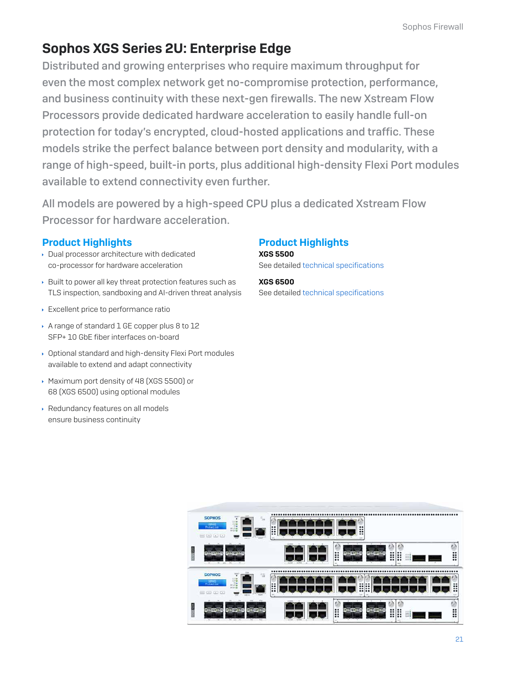# Sophos XGS Series 2U: Enterprise Edge

Distributed and growing enterprises who require maximum throughput for even the most complex network get no-compromise protection, performance, and business continuity with these next-gen firewalls. The new Xstream Flow Processors provide dedicated hardware acceleration to easily handle full-on protection for today's encrypted, cloud-hosted applications and traffic. These models strike the perfect balance between port density and modularity, with a [range of high-speed, built-in ports, plus additional high-density Flexi Port modules](https://www.e-rong.co.th/)  available to extend connectivity even further.

All models are powered by a high-speed CPU plus a dedicated Xstream Flow Processor for hardware acceleration.

### Product Highlights

- Dual processor architecture with dedicated co-processor for hardware acceleration
- Built to power all key threat protection features such as TLS inspection, sandboxing and AI-driven threat analysis
- Excellent price to performance ratio
- A range of standard 1 GE copper plus 8 to 12 SFP+ 10 GbE fiber interfaces on-board
- Optional standard and high-density Flexi Port modules available to extend and adapt connectivity
- Maximum port density of 48 (XGS 5500) or 68 (XGS 6500) using optional modules
- Redundancy features on all models ensure business continuity

# Product Highlights

XGS 5500 See detailed technical specifications

XGS 6500 See detailed technical specifications

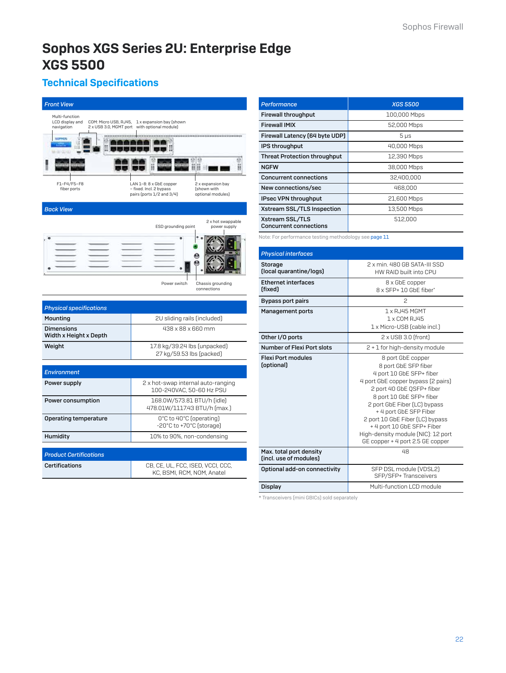# [Sophos XGS Series 2U: Enterprise Edge](https://www.e-rong.co.th/) XGS 5500

# Technical Specifications

| <b>Front View</b>                                                        |                                                                                                                                          |
|--------------------------------------------------------------------------|------------------------------------------------------------------------------------------------------------------------------------------|
| Multi-function<br>LCD display and<br>COM: Micro USB, RJ45,<br>navigation | 1 x expansion bay (shown<br>2 x USB 3.0, MGMT port with optional module)                                                                 |
| *****************<br><b>MEMOR</b><br><b>MARINA COLLECT</b>               |                                                                                                                                          |
|                                                                          | Ш                                                                                                                                        |
| F1-F4/F5-F8<br>fiber ports                                               | LAN 1-8: 8 x GbE copper<br>2 x expansion bay<br>- fixed. Incl. 2 bypass<br>(shown with<br>pairs (ports 1/2 and 3/4)<br>optional modules) |
| <b>Back View</b>                                                         |                                                                                                                                          |
|                                                                          | 2 x hot swappable<br>ESD grounding point<br>power supply                                                                                 |
|                                                                          |                                                                                                                                          |
|                                                                          |                                                                                                                                          |
|                                                                          |                                                                                                                                          |
|                                                                          | Power switch<br>Chassis grounding<br>connections                                                                                         |
|                                                                          |                                                                                                                                          |
| <b>Physical specifications</b><br>Mountina                               | 2U sliding rails (included)                                                                                                              |
| <b>Dimensions</b>                                                        | 438 x 88 x 660 mm                                                                                                                        |
| Width x Height x Depth                                                   |                                                                                                                                          |
| Weight                                                                   | 17.8 kg/39.24 lbs (unpacked)<br>27 kg/59.53 lbs (packed)                                                                                 |
|                                                                          |                                                                                                                                          |
| <b>Environment</b>                                                       |                                                                                                                                          |
| Power supply                                                             | 2 x hot-swap internal auto-ranging<br>100-240VAC, 50-60 Hz PSU                                                                           |
| Power consumption                                                        | 168.0W/573.81 BTU/h (idle)<br>478.01W/1117.43 BTU/h [max.]                                                                               |
| Operating temperature                                                    | 0°C to 40°C (operating)<br>-20°C to +70°C (storage)                                                                                      |
| Humidity                                                                 | 10% to 90%, non-condensing                                                                                                               |
|                                                                          |                                                                                                                                          |
| <b>Product Certifications</b>                                            |                                                                                                                                          |
| <b>Certifications</b>                                                    | CB, CE, UL, FCC, ISED, VCCI, CCC,<br>KC, BSMI, RCM, NOM, Anatel                                                                          |

| Performance                                      | <b>XGS 5500</b> |
|--------------------------------------------------|-----------------|
| <b>Firewall throughput</b>                       | 100,000 Mbps    |
| <b>Firewall IMIX</b>                             | 52,000 Mbps     |
| Firewall Latency (64 byte UDP)                   | $5 \mu s$       |
| IPS throughput                                   | 40,000 Mbps     |
| <b>Threat Protection throughput</b>              | 12,390 Mbps     |
| <b>NGFW</b>                                      | 38,000 Mbps     |
| <b>Concurrent connections</b>                    | 32,400,000      |
| New connections/sec                              | 468,000         |
| IPsec VPN throughput                             | 21,600 Mbps     |
| Xstream SSL/TLS Inspection                       | 13,500 Mbps     |
| Xstream SSL/TLS<br><b>Concurrent connections</b> | 512,000         |

Note: For performance testing methodology see page 11

| <b>Physical interfaces</b>                        |                                                                                                                                                                                                                                                                                                                                                                           |
|---------------------------------------------------|---------------------------------------------------------------------------------------------------------------------------------------------------------------------------------------------------------------------------------------------------------------------------------------------------------------------------------------------------------------------------|
| <b>Storage</b><br>(local quarantine/logs)         | 2 x min. 480 GB SATA-III SSD<br>HW RAID built into CPU                                                                                                                                                                                                                                                                                                                    |
| <b>Ethernet interfaces</b><br>(fixed)             | 8 x GbE copper<br>8 x SFP+ 10 GbF fiber*                                                                                                                                                                                                                                                                                                                                  |
| <b>Bypass port pairs</b>                          | 2                                                                                                                                                                                                                                                                                                                                                                         |
| <b>Management ports</b>                           | 1 x RJ45 MGMT<br>1 x COM RJ45<br>1 x Micro-USB (cable incl.)                                                                                                                                                                                                                                                                                                              |
| Other I/O ports                                   | $2 \times$ USB 3.0 (front)                                                                                                                                                                                                                                                                                                                                                |
| Number of Flexi Port slots                        | 2 + 1 for high-density module                                                                                                                                                                                                                                                                                                                                             |
| <b>Flexi Port modules</b><br>(optional)           | 8 port GbE copper<br>8 port GbE SFP fiber<br>4 port 10 GbE SFP+ fiber<br>4 port GbE copper bypass (2 pairs)<br>2 port 40 GbE QSFP+ fiber<br>8 port 10 GbE SFP+ fiber<br>2 port GbE Fiber (LC) bypass<br>+ 4 port GbE SFP Fiber<br>2 port 10 GbE Fiber (LC) bypass<br>+ 4 port 10 GbE SFP+ Fiber<br>High-density module (NIC): 12 port<br>GE copper + 4 port 2.5 GE copper |
| Max. total port density<br>(incl. use of modules) | 48                                                                                                                                                                                                                                                                                                                                                                        |
| Optional add-on connectivity                      | SFP DSL module (VDSL2)<br>SFP/SFP+ Transceivers                                                                                                                                                                                                                                                                                                                           |
| Display                                           | Multi-function LCD module                                                                                                                                                                                                                                                                                                                                                 |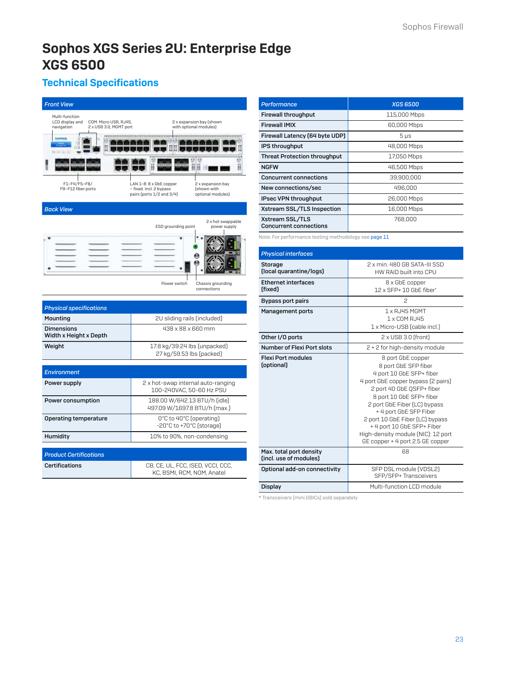# [Sophos XGS Series 2U: Enterprise Edge](https://www.e-rong.co.th/) XGS 6500

# Technical Specifications

| <b>Front View</b>                                                                                  |                                                                                                                                          |  |  |
|----------------------------------------------------------------------------------------------------|------------------------------------------------------------------------------------------------------------------------------------------|--|--|
| Multi-function<br>LCD display and<br>COM: Micro USB, RJ45,<br>navigation<br>2 x USB 3.0, MGMT port | 2 x expansion bay (shown<br>with optional modules)                                                                                       |  |  |
| MA CALL CALL CALL                                                                                  | <br>11 II<br>国<br>11                                                                                                                     |  |  |
|                                                                                                    | H                                                                                                                                        |  |  |
| F1-F4/F5-F8/<br>F9-F12 fiber ports                                                                 | LAN 1-8: 8 x GbE copper<br>2 x expansion bay<br>- fixed. Incl. 2 bypass<br>(shown with<br>pairs (ports 1/2 and 3/4)<br>optional modules) |  |  |
| <b>Back View</b>                                                                                   |                                                                                                                                          |  |  |
|                                                                                                    | 2 x hot swappable<br>ESD grounding point<br>power supply                                                                                 |  |  |
|                                                                                                    |                                                                                                                                          |  |  |
|                                                                                                    | Chassis grounding<br>Power switch<br>connections                                                                                         |  |  |
|                                                                                                    |                                                                                                                                          |  |  |
| <b>Physical specifications</b>                                                                     |                                                                                                                                          |  |  |
| Mounting                                                                                           | 2U sliding rails (included)                                                                                                              |  |  |
| <b>Dimensions</b><br>Width x Height x Depth                                                        | 438 x 88 x 660 mm                                                                                                                        |  |  |
| Weight                                                                                             | 17.8 kg/39.24 lbs [unpacked]<br>27 kg/59.53 lbs (packed)                                                                                 |  |  |
|                                                                                                    |                                                                                                                                          |  |  |
| <b>Environment</b>                                                                                 |                                                                                                                                          |  |  |
| Power supply                                                                                       | 2 x hot-swap internal auto-ranging<br>100-240VAC, 50-60 Hz PSU                                                                           |  |  |
| Power consumption                                                                                  | 188.00 W/642.13 BTU/h (idle)<br>497.09 W/1697.8 BTU/h (max.)                                                                             |  |  |
| 0°C to 40°C (operating)<br>Operating temperature<br>-20°C to +70°C (storage)                       |                                                                                                                                          |  |  |
| Humidity                                                                                           | 10% to 90%, non-condensing                                                                                                               |  |  |
|                                                                                                    |                                                                                                                                          |  |  |
|                                                                                                    |                                                                                                                                          |  |  |
| <b>Product Certifications</b><br>Certifications                                                    | CB, CE, UL, FCC, ISED, VCCI, CCC,                                                                                                        |  |  |

| Performance                                      | <b>XGS 6500</b> |
|--------------------------------------------------|-----------------|
| <b>Firewall throughput</b>                       | 115,000 Mbps    |
| <b>Firewall IMIX</b>                             | 60,000 Mbps     |
| Firewall Latency (64 byte UDP)                   | $5 \mu s$       |
| IPS throughput                                   | 48,000 Mbps     |
| <b>Threat Protection throughput</b>              | 17,050 Mbps     |
| <b>NGFW</b>                                      | 46,500 Mbps     |
| <b>Concurrent connections</b>                    | 39,900,000      |
| New connections/sec                              | 496,000         |
| IPsec VPN throughput                             | 26,000 Mbps     |
| Xstream SSL/TLS Inspection                       | 16,000 Mbps     |
| Xstream SSL/TLS<br><b>Concurrent connections</b> | 768.000         |

Note: For performance testing methodology see page 11

| <b>Physical interfaces</b>                        |                                                                                                                                                                                                                                                                                                                                                                           |
|---------------------------------------------------|---------------------------------------------------------------------------------------------------------------------------------------------------------------------------------------------------------------------------------------------------------------------------------------------------------------------------------------------------------------------------|
| <b>Storage</b><br>(local quarantine/logs)         | 2 x min. 480 GB SATA-III SSD<br>HW RAID built into CPU                                                                                                                                                                                                                                                                                                                    |
| <b>Ethernet interfaces</b><br>(fixed)             | 8 x GbE copper<br>12 x SFP+ 10 GbE fiher*                                                                                                                                                                                                                                                                                                                                 |
| <b>Bypass port pairs</b>                          | 2                                                                                                                                                                                                                                                                                                                                                                         |
| <b>Management ports</b>                           | $1 \times R$ , 145 MGMT<br>1 x COM RJ45<br>1 x Micro-USB (cable incl.)                                                                                                                                                                                                                                                                                                    |
| Other I/O ports                                   | 2 x USB 3.0 (front)                                                                                                                                                                                                                                                                                                                                                       |
| Number of Flexi Port slots                        | 2 + 2 for high-density module                                                                                                                                                                                                                                                                                                                                             |
| <b>Flexi Port modules</b><br>(optional)           | 8 port GbE copper<br>8 port GbE SFP fiber<br>4 port 10 GbE SFP+ fiber<br>4 port GbE copper bypass (2 pairs)<br>2 port 40 GbE QSFP+ fiber<br>8 port 10 GbE SFP+ fiber<br>2 port GbE Fiber (LC) bypass<br>+ 4 port GbE SFP Fiber<br>2 port 10 GbE Fiber (LC) bypass<br>+ 4 port 10 GbE SFP+ Fiber<br>High-density module (NIC): 12 port<br>GE copper + 4 port 2.5 GE copper |
| Max. total port density<br>(incl. use of modules) | 68                                                                                                                                                                                                                                                                                                                                                                        |
| Optional add-on connectivity                      | SFP DSL module (VDSL2)<br>SFP/SFP+ Transceivers                                                                                                                                                                                                                                                                                                                           |
| Display                                           | Multi-function LCD module                                                                                                                                                                                                                                                                                                                                                 |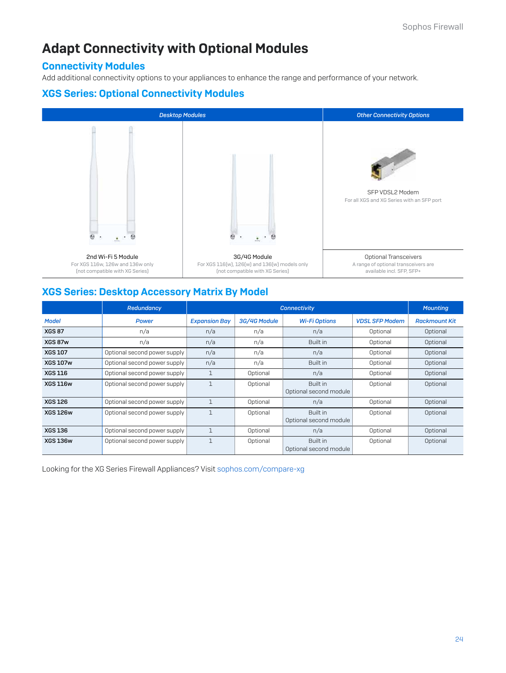# [Adapt Connectivity with Optional Modules](https://www.e-rong.co.th/)

### Connectivity Modules

Add additional connectivity options to your appliances to enhance the range and performance of your network.

### XGS Series: Optional Connectivity Modules



### XGS Series: Desktop Accessory Matrix By Model

|                 | Redundancy                   | <b>Connectivity</b>  |              |                                           |                       | <b>Mounting</b>      |
|-----------------|------------------------------|----------------------|--------------|-------------------------------------------|-----------------------|----------------------|
| <b>Model</b>    | <b>Power</b>                 | <b>Expansion Bay</b> | 3G/4G Module | <b>Wi-Fi Options</b>                      | <b>VDSL SFP Modem</b> | <b>Rackmount Kit</b> |
| <b>XGS 87</b>   | n/a                          | n/a                  | n/a          | n/a                                       | Optional              | Optional             |
| XGS 87w         | n/a                          | n/a                  | n/a          | Built in                                  | Optional              | Optional             |
| <b>XGS 107</b>  | Optional second power supply | n/a                  | n/a          | n/a                                       | Optional              | Optional             |
| <b>XGS 107w</b> | Optional second power supply | n/a                  | n/a          | Built in                                  | Optional              | Optional             |
| <b>XGS 116</b>  | Optional second power supply | $\mathbf 1$          | Optional     | n/a                                       | Optional              | Optional             |
| <b>XGS 116w</b> | Optional second power supply |                      | Optional     | <b>Built in</b><br>Optional second module | Optional              | Optional             |
| <b>XGS 126</b>  | Optional second power supply |                      | Optional     | n/a                                       | Optional              | Optional             |
| <b>XGS 126w</b> | Optional second power supply | $\mathbf 1$          | Optional     | Built in<br>Optional second module        | Optional              | Optional             |
| <b>XGS 136</b>  | Optional second power supply |                      | Optional     | n/a                                       | Optional              | Optional             |
| <b>XGS 136w</b> | Optional second power supply | 1                    | Optional     | Built in<br>Optional second module        | Optional              | Optional             |

Looking for the XG Series Firewall Appliances? Visit sophos.com/compare-xg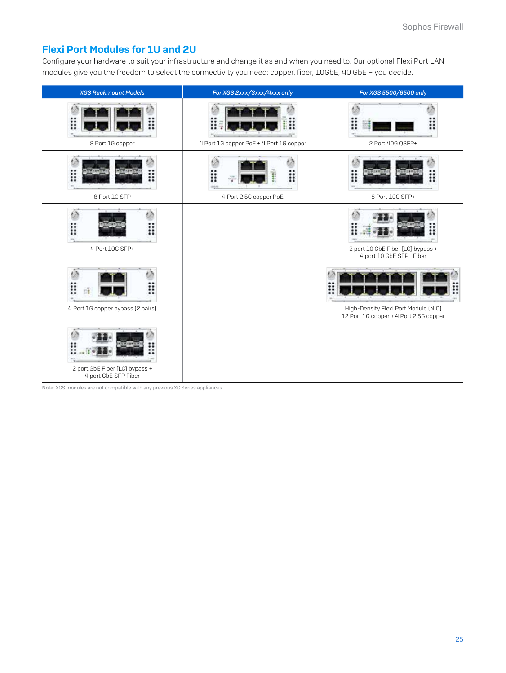# Flexi Port Modules for 1U and 2U

[Configure your hardware to suit your infrastructure and change it as and when you need to. Our optional Flexi Port LAN](https://www.e-rong.co.th/)  modules give you the freedom to select the connectivity you need: copper, fiber, 10GbE, 40 GbE – you decide.

| <b>XGS Rackmount Models</b>                            | For XGS 2xxx/3xxx/4xxx only               | For XGS 5500/6500 only                                                         |
|--------------------------------------------------------|-------------------------------------------|--------------------------------------------------------------------------------|
| ∷<br>8 Port 1G copper                                  | 4 Port 1G copper PoE + 4 Port 1G copper   | ።<br>2 Port 40G QSFP+                                                          |
| 8 Port 1G SFP                                          | I<br>።<br>iisis<br>4 Port 2.5G copper PoE | ።<br>H<br>8 Port 10G SFP+                                                      |
| i::<br>Ħ<br>4 Port 10G SFP+                            |                                           | 2 port 10 GbE Fiber (LC) bypass +<br>4 port 10 GbE SFP+ Fiber                  |
| m<br>4 Port 1G copper bypass (2 pairs)                 |                                           | High-Density Flexi Port Module (NIC)<br>12 Port 1G copper + 4 Port 2.5G copper |
| 2 port GbE Fiber (LC) bypass +<br>4 port GbE SFP Fiber |                                           |                                                                                |

Note: XGS modules are not compatible with any previous XG Series appliances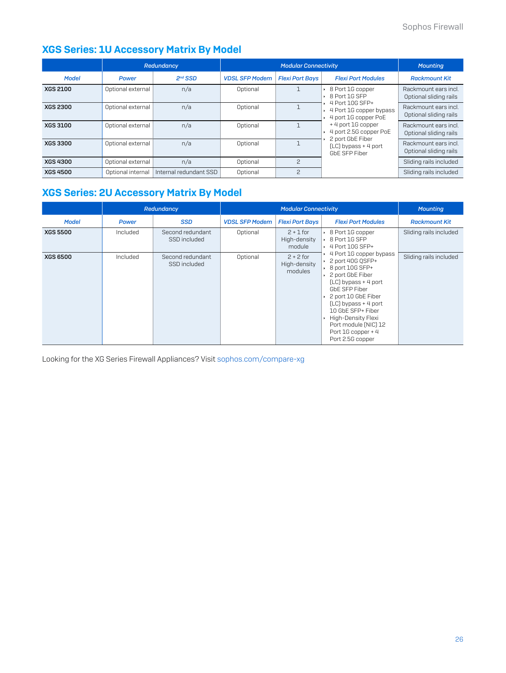# XGS Series: 1U Accessory Matrix By Model

|                 |                   | Redundancy             |                       | <b>Modular Connectivity</b> |                                                                    | <b>Mounting</b>                                |
|-----------------|-------------------|------------------------|-----------------------|-----------------------------|--------------------------------------------------------------------|------------------------------------------------|
| <b>Model</b>    | <b>Power</b>      | $2nd$ SSD              | <b>VDSL SFP Modem</b> | <b>Flexi Port Bays</b>      | <b>Flexi Port Modules</b>                                          | <b>Rackmount Kit</b>                           |
| <b>XGS 2100</b> | Optional external | n/a                    | Optional              |                             | ▶ 8 Port 1G copper<br>$\cdot$ 8 Port 1G SFP                        | Rackmount ears incl.<br>Optional sliding rails |
| <b>XGS 2300</b> | Optional external | n/a                    | Optional              |                             | 4 Port 10G SEP+<br>4 Port 1G copper bypass<br>4 port 1G copper PoE | Rackmount ears incl.<br>Optional sliding rails |
| <b>XGS 3100</b> | Optional external | n/a                    | Optional              |                             | +4 port 1G copper<br>4 port 2.5G copper PoE                        | Rackmount ears incl.<br>Optional sliding rails |
| <b>XGS 3300</b> | Optional external | n/a                    | Optional              |                             | 2 port GbE Fiber<br>(LC) bypass + 4 port<br>GbE SFP Fiber          | Rackmount ears incl.<br>Optional sliding rails |
| <b>XGS 4300</b> | Optional external | n/a                    | Optional              | $\mathcal{P}$               |                                                                    | Sliding rails included                         |
| <b>XGS 4500</b> | Optional internal | Internal redundant SSD | Optional              | $\mathcal{P}$               |                                                                    | Sliding rails included                         |

# [XGS Series: 2U Accessory Matrix By Model](https://www.e-rong.co.th/)

|                 |              | Redundancy                       | <b>Modular Connectivity</b> |                                        |                                                                                                                                                                                                                                                                                                   | <b>Mounting</b>        |
|-----------------|--------------|----------------------------------|-----------------------------|----------------------------------------|---------------------------------------------------------------------------------------------------------------------------------------------------------------------------------------------------------------------------------------------------------------------------------------------------|------------------------|
| <b>Model</b>    | <b>Power</b> | <b>SSD</b>                       | <b>VDSL SFP Modem</b>       | <b>Flexi Port Bays</b>                 | <b>Flexi Port Modules</b>                                                                                                                                                                                                                                                                         | <b>Rackmount Kit</b>   |
| <b>XGS 5500</b> | Included     | Second redundant<br>SSD included | Optional                    | $2 + 1$ for<br>High-density<br>module  | ▸ 8 Port 1G copper<br>$\cdot$ 8 Port 1G SFP<br>$\cdot$ 4 Port 10G SFP+                                                                                                                                                                                                                            | Sliding rails included |
| <b>XGS 6500</b> | Included     | Second redundant<br>SSD included | Optional                    | $2 + 2$ for<br>High-density<br>modules | 4 Port 1G copper bypass<br>$\cdot$ 2 port 40G QSFP+<br>▶ 8 port 10G SFP+<br>2 port GbE Fiber<br>(LC) bypass + 4 port<br>GbE SFP Fiber<br>2 port 10 GbE Fiber<br>(LC) bypass + 4 port<br>10 GbE SFP+ Fiber<br>High-Density Flexi<br>Port module (NIC) 12<br>Port 1G copper + 4<br>Port 2.5G copper | Sliding rails included |

Looking for the XG Series Firewall Appliances? Visit sophos.com/compare-xg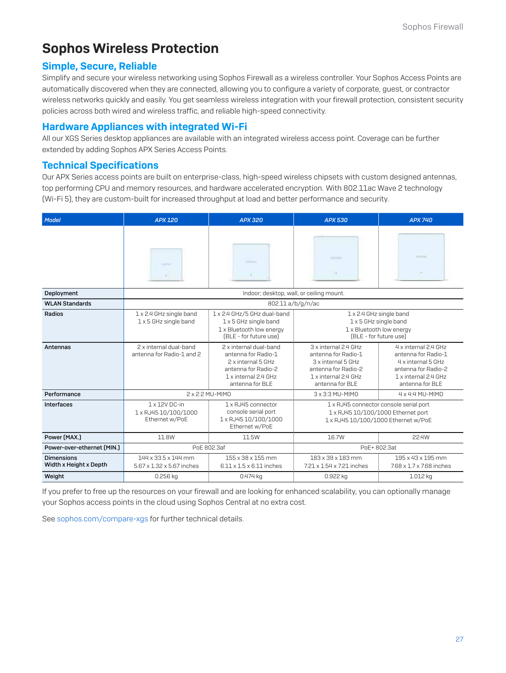# Sophos Wireless Protection

### Simple, Secure, Reliable

Simplify and secure your wireless networking using Sophos Firewall as a wireless controller. Your Sophos Access Points are automatically discovered when they are connected, allowing you to configure a variety of corporate, guest, or contractor [wireless networks quickly and easily. You get seamless wireless integration with your firewall protection, consistent security](https://www.e-rong.co.th/)  policies across both wired and wireless traffic, and reliable high-speed connectivity.

### Hardware Appliances with integrated Wi-Fi

All our XGS Series desktop appliances are available with an integrated wireless access point. Coverage can be further extended by adding Sophos APX Series Access Points.

### Technical Specifications

Our APX Series access points are built on enterprise-class, high-speed wireless chipsets with custom designed antennas, top performing CPU and memory resources, and hardware accelerated encryption. With 802.11ac Wave 2 technology (Wi-Fi 5), they are custom-built for increased throughput at load and better performance and security.

| Model                                       | <b>APX 120</b>                                          | APX 320                                                                                                                               | <b>APX 530</b>                                                                                                                      | <b>APX 740</b>                                                                                                                      |
|---------------------------------------------|---------------------------------------------------------|---------------------------------------------------------------------------------------------------------------------------------------|-------------------------------------------------------------------------------------------------------------------------------------|-------------------------------------------------------------------------------------------------------------------------------------|
|                                             |                                                         |                                                                                                                                       | $-10-10$<br>16                                                                                                                      | SCHOOL<br>$\alpha$                                                                                                                  |
| Deployment                                  |                                                         | Indoor; desktop, wall, or ceiling mount.                                                                                              |                                                                                                                                     |                                                                                                                                     |
| <b>WLAN Standards</b>                       |                                                         | 802.11 a/b/g/n/ac                                                                                                                     |                                                                                                                                     |                                                                                                                                     |
| Radios                                      | 1 x 2.4 GHz single band<br>1 x 5 GHz single band        | 1 x 2.4 GHz/5 GHz dual-band<br>1 x 5 GHz single band<br>1 x Bluetooth low energy<br>(BLE - for future use)                            | 1 x 2.4 GHz single band<br>1 x Bluetooth low energy<br>(BLE - for future use)                                                       | 1 x 5 GHz single band                                                                                                               |
| Antennas                                    | 2 x internal dual-band<br>antenna for Radio-1 and 2     | 2 x internal dual-band<br>antenna for Radio-1<br>2 x internal 5 GHz<br>antenna for Radio-2<br>1 x internal 2.4 GHz<br>antenna for BLE | 3 x internal 2.4 GHz<br>antenna for Radio-1<br>3 x internal 5 GHz<br>antenna for Radio-2<br>1 x internal 2.4 GHz<br>antenna for BLE | 4 x internal 2.4 GHz<br>antenna for Radio-1<br>4 x internal 5 GHz<br>antenna for Radio-2<br>1 x internal 2.4 GHz<br>antenna for BLE |
| Performance                                 |                                                         | 2 x 2:2 MU-MIMO                                                                                                                       | 3 x 3:3 MU-MIMO                                                                                                                     | 4 x 4:4 MU-MIMO                                                                                                                     |
| Interfaces                                  | 1 x 12V DC-in<br>1 x RJ45 10/100/1000<br>Ethernet w/PoE | 1 x RJ45 connector<br>console serial port<br>1 x RJ45 10/100/1000<br>Ethernet w/PoE                                                   | 1 x RJ45 connector console serial port                                                                                              | 1 x RJ45 10/100/1000 Ethernet port<br>1 x RJ45 10/100/1000 Ethernet w/PoE                                                           |
| Power (MAX.)                                | 11.8W                                                   | 11.5W                                                                                                                                 | 16.7W                                                                                                                               | 22.4W                                                                                                                               |
| Power-over-ethernet [MIN.]                  |                                                         | PoE 802.3af                                                                                                                           |                                                                                                                                     | PoE+802.3at                                                                                                                         |
| <b>Dimensions</b><br>Width x Height x Depth | 144 x 33.5 x 144 mm<br>5.67 x 1.32 x 5.67 inches        | 155 x 38 x 155 mm<br>$6.11 \times 1.5 \times 6.11$ inches                                                                             | 183 x 39 x 183 mm<br>7.21 x 1.54 x 7.21 inches                                                                                      | 195 x 43 x 195 mm<br>7.68 x 1.7 x 7.68 inches                                                                                       |
| Weight                                      | 0.256 kg                                                | 0.474 kg                                                                                                                              | 0.922 kg                                                                                                                            | 1.012 kg                                                                                                                            |

If you prefer to free up the resources on your firewall and are looking for enhanced scalability, you can optionally manage your Sophos access points in the cloud using Sophos Central at no extra cost.

See sophos.com/compare-xgs for further technical details.